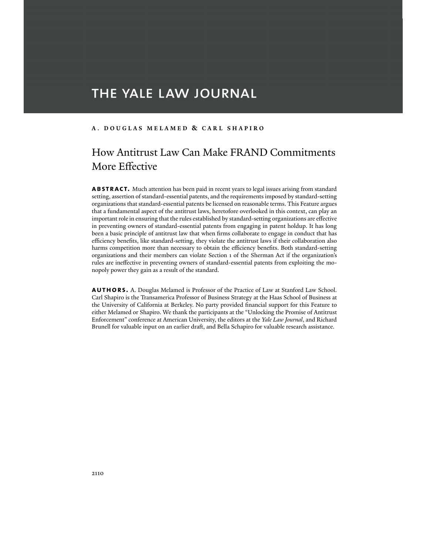# THE YALE LAW JOURNAL

## **A** . **DOUGLAS MELAMED & CARL SHAPIRO**

## How Antitrust Law Can Make FRAND Commitments More Effective

**abstract.** Much attention has been paid in recent years to legal issues arising from standard setting, assertion of standard-essential patents, and the requirements imposed by standard-setting organizations that standard-essential patents be licensed on reasonable terms. This Feature argues that a fundamental aspect of the antitrust laws, heretofore overlooked in this context, can play an important role in ensuring that the rules established by standard-setting organizations are effective in preventing owners of standard-essential patents from engaging in patent holdup. It has long been a basic principle of antitrust law that when firms collaborate to engage in conduct that has efficiency benefits, like standard-setting, they violate the antitrust laws if their collaboration also harms competition more than necessary to obtain the efficiency benefits. Both standard-setting organizations and their members can violate Section 1 of the Sherman Act if the organization's rules are ineffective in preventing owners of standard-essential patents from exploiting the monopoly power they gain as a result of the standard.

**authors.** A. Douglas Melamed is Professor of the Practice of Law at Stanford Law School. Carl Shapiro is the Transamerica Professor of Business Strategy at the Haas School of Business at the University of California at Berkeley. No party provided financial support for this Feature to either Melamed or Shapiro. We thank the participants at the "Unlocking the Promise of Antitrust Enforcement" conference at American University, the editors at the *Yale Law Journal*, and Richard Brunell for valuable input on an earlier draft, and Bella Schapiro for valuable research assistance.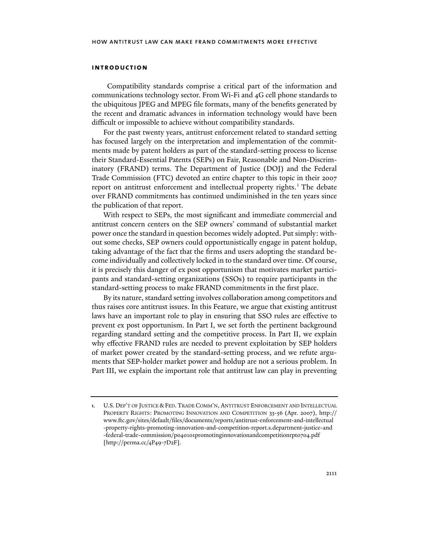#### **introduction**

 Compatibility standards comprise a critical part of the information and communications technology sector. From Wi-Fi and 4G cell phone standards to the ubiquitous JPEG and MPEG file formats, many of the benefits generated by the recent and dramatic advances in information technology would have been difficult or impossible to achieve without compatibility standards.

For the past twenty years, antitrust enforcement related to standard setting has focused largely on the interpretation and implementation of the commitments made by patent holders as part of the standard-setting process to license their Standard-Essential Patents (SEPs) on Fair, Reasonable and Non-Discriminatory (FRAND) terms. The Department of Justice (DOJ) and the Federal Trade Commission (FTC) devoted an entire chapter to this topic in their 2007 report on antitrust enforcement and intellectual property rights.<sup>1</sup> The debate over FRAND commitments has continued undiminished in the ten years since the publication of that report.

With respect to SEPs, the most significant and immediate commercial and antitrust concern centers on the SEP owners' command of substantial market power once the standard in question becomes widely adopted. Put simply: without some checks, SEP owners could opportunistically engage in patent holdup, taking advantage of the fact that the firms and users adopting the standard become individually and collectively locked in to the standard over time. Of course, it is precisely this danger of ex post opportunism that motivates market participants and standard-setting organizations (SSOs) to require participants in the standard-setting process to make FRAND commitments in the first place.

By its nature, standard setting involves collaboration among competitors and thus raises core antitrust issues. In this Feature, we argue that existing antitrust laws have an important role to play in ensuring that SSO rules are effective to prevent ex post opportunism. In Part I, we set forth the pertinent background regarding standard setting and the competitive process. In Part II, we explain why effective FRAND rules are needed to prevent exploitation by SEP holders of market power created by the standard-setting process, and we refute arguments that SEP-holder market power and holdup are not a serious problem. In Part III, we explain the important role that antitrust law can play in preventing

**<sup>1</sup>**. U.S. DEP'T OF JUSTICE & FED. TRADE COMM'N, ANTITRUST ENFORCEMENT AND INTELLECTUAL PROPERTY RIGHTS: PROMOTING INNOVATION AND COMPETITION 33-56 (Apr. 2007), http:// www.ftc.gov/sites/default/files/documents/reports/antitrust-enforcement-and-intellectual -property-rights-promoting-innovation-and-competition-report.s.department-justice-and -federal-trade-commission/p040101promotinginnovationandcompetitionrpt0704.pdf [http://perma.cc/4P49-7D2F].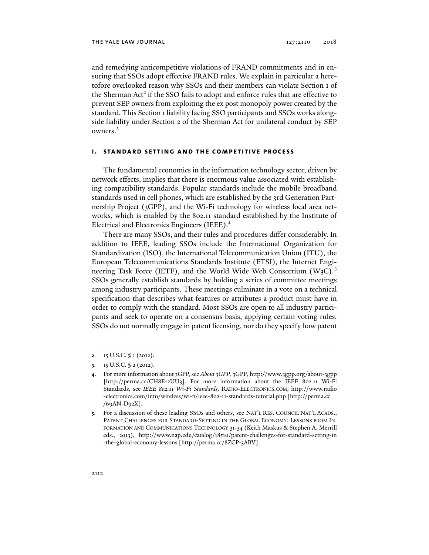and remedying anticompetitive violations of FRAND commitments and in ensuring that SSOs adopt effective FRAND rules. We explain in particular a heretofore overlooked reason why SSOs and their members can violate Section 1 of the Sherman Act<sup>2</sup> if the SSO fails to adopt and enforce rules that are effective to prevent SEP owners from exploiting the ex post monopoly power created by the standard. This Section 1 liability facing SSO participants and SSOs works alongside liability under Section 2 of the Sherman Act for unilateral conduct by SEP owners.3

## **i. standard setting and the competitive process**

The fundamental economics in the information technology sector, driven by network effects, implies that there is enormous value associated with establishing compatibility standards. Popular standards include the mobile broadband standards used in cell phones, which are established by the 3rd Generation Partnership Project (3GPP), and the Wi-Fi technology for wireless local area networks, which is enabled by the 802.11 standard established by the Institute of Electrical and Electronics Engineers (IEEE).4

There are many SSOs, and their rules and procedures differ considerably. In addition to IEEE, leading SSOs include the International Organization for Standardization (ISO), the International Telecommunication Union (ITU), the European Telecommunications Standards Institute (ETSI), the Internet Engineering Task Force (IETF), and the World Wide Web Consortium  $(W_3C)^5$ SSOs generally establish standards by holding a series of committee meetings among industry participants. These meetings culminate in a vote on a technical specification that describes what features or attributes a product must have in order to comply with the standard. Most SSOs are open to all industry participants and seek to operate on a consensus basis, applying certain voting rules. SSOs do not normally engage in patent licensing, nor do they specify how patent

**<sup>2</sup>**. 15 U.S.C. § 1 (2012).

**<sup>3</sup>**. 15 U.S.C. § 2 (2012).

**<sup>4</sup>**. For more information about 3GPP, see *About 3GPP*, 3GPP, http://www.3gpp.org/about-3gpp [http://perma.cc/CH8E-2UU3]. For more information about the IEEE 802.11 Wi-Fi Standards, see *IEEE 802.11 Wi-Fi Standards,* RADIO-ELECTRONICS.COM, http://www.radio -electronics.com/info/wireless/wi-fi/ieee-802-11-standards-tutorial.php [http://perma.cc /69AN-D92X].

**<sup>5</sup>**. For a discussion of these leading SSOs and others, see NAT'L RES. COUNCIL NAT'L ACADS., PATENT CHALLENGES FOR STANDARD-SETTING IN THE GLOBAL ECONOMY: LESSONS FROM IN-FORMATION AND COMMUNICATIONS TECHNOLOGY 31-34 (Keith Maskus & Stephen A. Merrill eds., 2013), http://www.nap.edu/catalog/18510/patent-challenges-for-standard-setting-in -the-global-economy-lessons [http://perma.cc/8ZCP-3ABV].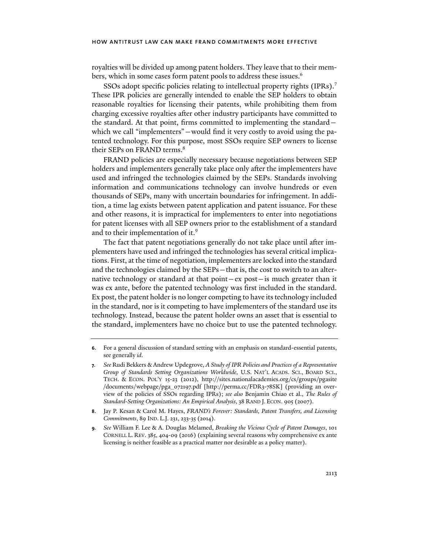royalties will be divided up among patent holders. They leave that to their members, which in some cases form patent pools to address these issues.<sup>6</sup>

SSOs adopt specific policies relating to intellectual property rights (IPRs).<sup>7</sup> These IPR policies are generally intended to enable the SEP holders to obtain reasonable royalties for licensing their patents, while prohibiting them from charging excessive royalties after other industry participants have committed to the standard. At that point, firms committed to implementing the standard which we call "implementers" — would find it very costly to avoid using the patented technology. For this purpose, most SSOs require SEP owners to license their SEPs on FRAND terms.<sup>8</sup>

FRAND policies are especially necessary because negotiations between SEP holders and implementers generally take place only after the implementers have used and infringed the technologies claimed by the SEPs. Standards involving information and communications technology can involve hundreds or even thousands of SEPs, many with uncertain boundaries for infringement. In addition, a time lag exists between patent application and patent issuance. For these and other reasons, it is impractical for implementers to enter into negotiations for patent licenses with all SEP owners prior to the establishment of a standard and to their implementation of it.<sup>9</sup>

The fact that patent negotiations generally do not take place until after implementers have used and infringed the technologies has several critical implications. First, at the time of negotiation, implementers are locked into the standard and the technologies claimed by the SEPs—that is, the cost to switch to an alternative technology or standard at that point—ex post—is much greater than it was ex ante, before the patented technology was first included in the standard. Ex post, the patent holder is no longer competing to have its technology included in the standard, nor is it competing to have implementers of the standard use its technology. Instead, because the patent holder owns an asset that is essential to the standard, implementers have no choice but to use the patented technology.

- **8**. Jay P. Kesan & Carol M. Hayes, *FRAND's Forever: Standards, Patent Transfers, and Licensing Commitments*, 89 IND. L.J. 231, 233-35 (2014).
- **9***. See* William F. Lee & A. Douglas Melamed, *Breaking the Vicious Cycle of Patent Damages*, 101 CORNELL L. REV. 385, 404-09 (2016) (explaining several reasons why comprehensive ex ante licensing is neither feasible as a practical matter nor desirable as a policy matter).

**<sup>6</sup>**. For a general discussion of standard setting with an emphasis on standard-essential patents, see generally *id*.

**<sup>7</sup>***. See* Rudi Bekkers & Andrew Updegrove, *A Study of IPR Policies and Practices of a Representative Group of Standards Setting Organizations Worldwide*, U.S. NAT'L ACADS. SCI., BOARD SCI., TECH. & ECON. POL'Y 15-23 (2012), http://sites.nationalacademies.org/cs/groups/pgasite /documents/webpage/pga\_072197.pdf [http://perma.cc/FDR3-78SK] (providing an overview of the policies of SSOs regarding IPRs); *see also* Benjamin Chiao et al., *The Rules of Standard-Setting Organizations: An Empirical Analysis*, 38 RAND J. ECON. 905 (2007).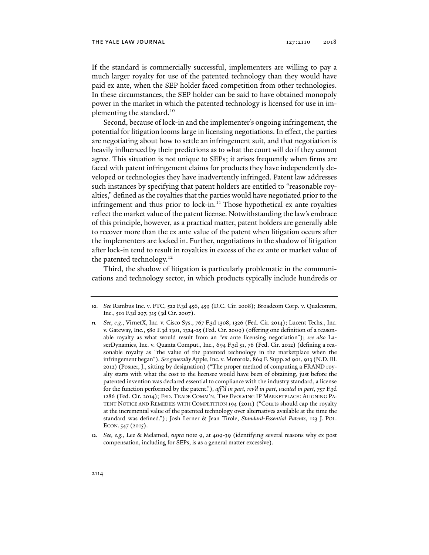If the standard is commercially successful, implementers are willing to pay a much larger royalty for use of the patented technology than they would have paid ex ante, when the SEP holder faced competition from other technologies. In these circumstances, the SEP holder can be said to have obtained monopoly power in the market in which the patented technology is licensed for use in implementing the standard.10

Second, because of lock-in and the implementer's ongoing infringement, the potential for litigation looms large in licensing negotiations. In effect, the parties are negotiating about how to settle an infringement suit, and that negotiation is heavily influenced by their predictions as to what the court will do if they cannot agree. This situation is not unique to SEPs; it arises frequently when firms are faced with patent infringement claims for products they have independently developed or technologies they have inadvertently infringed. Patent law addresses such instances by specifying that patent holders are entitled to "reasonable royalties," defined as the royalties that the parties would have negotiated prior to the infringement and thus prior to lock-in.<sup>11</sup> Those hypothetical ex ante royalties reflect the market value of the patent license. Notwithstanding the law's embrace of this principle, however, as a practical matter, patent holders are generally able to recover more than the ex ante value of the patent when litigation occurs after the implementers are locked in. Further, negotiations in the shadow of litigation after lock-in tend to result in royalties in excess of the ex ante or market value of the patented technology.<sup>12</sup>

Third, the shadow of litigation is particularly problematic in the communications and technology sector, in which products typically include hundreds or

**<sup>10</sup>***. See* Rambus Inc. v. FTC, 522 F.3d 456, 459 (D.C. Cir. 2008); Broadcom Corp. v. Qualcomm, Inc., 501 F.3d 297, 315 (3d Cir. 2007).

**<sup>11</sup>***. See, e.g*., VirnetX, Inc. v. Cisco Sys., 767 F.3d 1308, 1326 (Fed. Cir. 2014); Lucent Techs., Inc. v. Gateway, Inc., 580 F.3d 1301, 1324-25 (Fed. Cir. 2009) (offering one definition of a reasonable royalty as what would result from an "ex ante licensing negotiation"); *see also* LaserDynamics, Inc. v. Quanta Comput., Inc., 694 F.3d 51, 76 (Fed. Cir. 2012) (defining a reasonable royalty as "the value of the patented technology in the marketplace when the infringement began"). *See generally* Apple, Inc. v. Motorola, 869 F. Supp.2d 901, 913 (N.D. Ill. 2012) (Posner, J., sitting by designation) ("The proper method of computing a FRAND royalty starts with what the cost to the licensee would have been of obtaining, just before the patented invention was declared essential to compliance with the industry standard, a license for the function performed by the patent."), *aff 'd in part, rev'd in part*, *vacated in part*, 757 F.3d 1286 (Fed. Cir. 2014); FED. TRADE COMM'N, THE EVOLVING IP MARKETPLACE: ALIGNING PA-TENT NOTICE AND REMEDIES WITH COMPETITION 194 (2011) ("Courts should cap the royalty at the incremental value of the patented technology over alternatives available at the time the standard was defined."); Josh Lerner & Jean Tirole, *Standard-Essential Patents*, 123 J. POL. ECON.547 (2015).

**<sup>12</sup>***. See, e.g.*, Lee & Melamed, *supra* note 9, at 409-39 (identifying several reasons why ex post compensation, including for SEPs, is as a general matter excessive).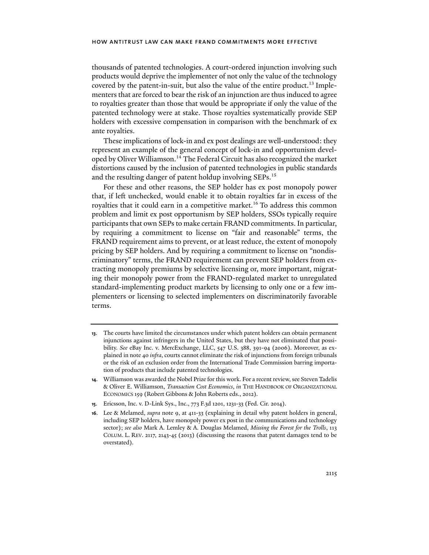thousands of patented technologies. A court-ordered injunction involving such products would deprive the implementer of not only the value of the technology covered by the patent-in-suit, but also the value of the entire product.13 Implementers that are forced to bear the risk of an injunction are thus induced to agree to royalties greater than those that would be appropriate if only the value of the patented technology were at stake. Those royalties systematically provide SEP holders with excessive compensation in comparison with the benchmark of ex ante royalties.

These implications of lock-in and ex post dealings are well-understood: they represent an example of the general concept of lock-in and opportunism developed by Oliver Williamson.14 The Federal Circuit has also recognized the market distortions caused by the inclusion of patented technologies in public standards and the resulting danger of patent holdup involving SEPs.<sup>15</sup>

For these and other reasons, the SEP holder has ex post monopoly power that, if left unchecked, would enable it to obtain royalties far in excess of the royalties that it could earn in a competitive market.<sup>16</sup> To address this common problem and limit ex post opportunism by SEP holders, SSOs typically require participants that own SEPs to make certain FRAND commitments. In particular, by requiring a commitment to license on "fair and reasonable" terms, the FRAND requirement aims to prevent, or at least reduce, the extent of monopoly pricing by SEP holders. And by requiring a commitment to license on "nondiscriminatory" terms, the FRAND requirement can prevent SEP holders from extracting monopoly premiums by selective licensing or, more important, migrating their monopoly power from the FRAND-regulated market to unregulated standard-implementing product markets by licensing to only one or a few implementers or licensing to selected implementers on discriminatorily favorable terms.

**<sup>13</sup>**. The courts have limited the circumstances under which patent holders can obtain permanent injunctions against infringers in the United States, but they have not eliminated that possibility. *See* eBay Inc. v. MercExchange, LLC, 547 U.S. 388, 391-94 (2006). Moreover, as explained in note 40 *infra*, courts cannot eliminate the risk of injunctions from foreign tribunals or the risk of an exclusion order from the International Trade Commission barring importation of products that include patented technologies.

**<sup>14</sup>**. Williamson was awarded the Nobel Prize for this work. For a recent review, see Steven Tadelis & Oliver E. Williamson, *Transaction Cost Economics*, *in* THE HANDBOOK OF ORGANIZATIONAL ECONOMICS 159 (Robert Gibbons & John Roberts eds., 2012).

**<sup>15</sup>**. Ericsson, Inc. v. D-Link Sys., Inc., 773 F.3d 1201, 1231-33 (Fed. Cir. 2014).

**<sup>16</sup>**. Lee & Melamed, *supra* note 9, at 411-33 (explaining in detail why patent holders in general, including SEP holders, have monopoly power ex post in the communications and technology sector); *see also* Mark A. Lemley & A. Douglas Melamed, *Missing the Forest for the Trolls*, 113 COLUM. L. REV. 2117, 2143-45 (2013) (discussing the reasons that patent damages tend to be overstated).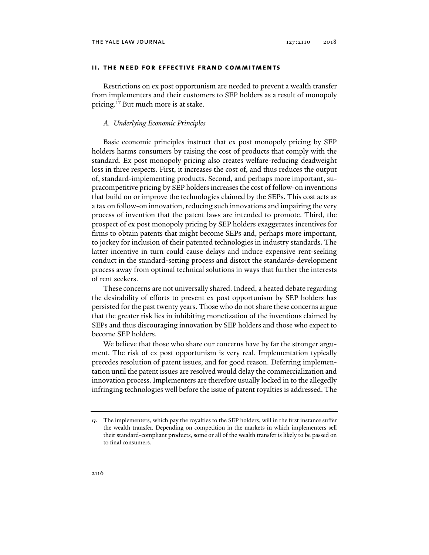## **ii. the need for effective frand commitments**

Restrictions on ex post opportunism are needed to prevent a wealth transfer from implementers and their customers to SEP holders as a result of monopoly pricing.<sup>17</sup> But much more is at stake.

## *A. Underlying Economic Principles*

Basic economic principles instruct that ex post monopoly pricing by SEP holders harms consumers by raising the cost of products that comply with the standard. Ex post monopoly pricing also creates welfare-reducing deadweight loss in three respects. First, it increases the cost of, and thus reduces the output of, standard-implementing products. Second, and perhaps more important, supracompetitive pricing by SEP holders increases the cost of follow-on inventions that build on or improve the technologies claimed by the SEPs. This cost acts as a tax on follow-on innovation, reducing such innovations and impairing the very process of invention that the patent laws are intended to promote. Third, the prospect of ex post monopoly pricing by SEP holders exaggerates incentives for firms to obtain patents that might become SEPs and, perhaps more important, to jockey for inclusion of their patented technologies in industry standards. The latter incentive in turn could cause delays and induce expensive rent-seeking conduct in the standard-setting process and distort the standards-development process away from optimal technical solutions in ways that further the interests of rent seekers.

These concerns are not universally shared. Indeed, a heated debate regarding the desirability of efforts to prevent ex post opportunism by SEP holders has persisted for the past twenty years. Those who do not share these concerns argue that the greater risk lies in inhibiting monetization of the inventions claimed by SEPs and thus discouraging innovation by SEP holders and those who expect to become SEP holders.

We believe that those who share our concerns have by far the stronger argument. The risk of ex post opportunism is very real. Implementation typically precedes resolution of patent issues, and for good reason. Deferring implementation until the patent issues are resolved would delay the commercialization and innovation process. Implementers are therefore usually locked in to the allegedly infringing technologies well before the issue of patent royalties is addressed. The

**<sup>17</sup>**. The implementers, which pay the royalties to the SEP holders, will in the first instance suffer the wealth transfer. Depending on competition in the markets in which implementers sell their standard-compliant products, some or all of the wealth transfer is likely to be passed on to final consumers.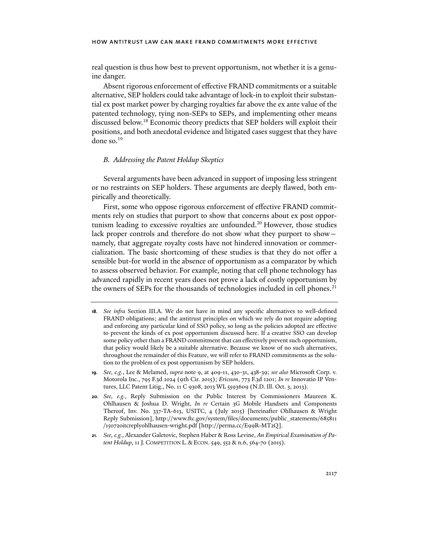real question is thus how best to prevent opportunism, not whether it is a genuine danger.

Absent rigorous enforcement of effective FRAND commitments or a suitable alternative, SEP holders could take advantage of lock-in to exploit their substantial ex post market power by charging royalties far above the ex ante value of the patented technology, tying non-SEPs to SEPs, and implementing other means discussed below.18 Economic theory predicts that SEP holders will exploit their positions, and both anecdotal evidence and litigated cases suggest that they have done so.19

## *B. Addressing the Patent Holdup Skeptics*

Several arguments have been advanced in support of imposing less stringent or no restraints on SEP holders. These arguments are deeply flawed, both empirically and theoretically.

First, some who oppose rigorous enforcement of effective FRAND commitments rely on studies that purport to show that concerns about ex post opportunism leading to excessive royalties are unfounded.<sup>20</sup> However, those studies lack proper controls and therefore do not show what they purport to show namely, that aggregate royalty costs have not hindered innovation or commercialization. The basic shortcoming of these studies is that they do not offer a sensible but-for world in the absence of opportunism as a comparator by which to assess observed behavior. For example, noting that cell phone technology has advanced rapidly in recent years does not prove a lack of costly opportunism by the owners of SEPs for the thousands of technologies included in cell phones.<sup>21</sup>

- **19***. See, e.g.*, Lee & Melamed, *supra* note 9, at 409-11, 430-31, 438-39; *see also* Microsoft Corp. v. Motorola Inc., 795 F.3d 1024 (9th Cir. 2015); *Ericsson*, 773 F.3d 1201; *In re* Innovatio IP Ventures, LLC Patent Litig., No. 11 C 9308, 2013 WL 5593609 (N.D. Ill. Oct. 3, 2013).
- **20***. See, e.g.*, Reply Submission on the Public Interest by Commissioners Maureen K. Ohlhausen & Joshua D. Wright, *In re* Certain 3G Mobile Handsets and Components Thereof, Inv. No. 337-TA-613, USITC, 4 (July 2015) [hereinafter Ohlhausen & Wright Reply Submission], http://www.ftc.gov/system/files/documents/public\_statements/685811 /150720itcreplyohlhausen-wright.pdf [http://perma.cc/E99R-MT2Q].
- **21***. See, e.g.*, Alexander Galetovic, Stephen Haber & Ross Levine, *An Empirical Examination of Patent Holdup*, 11 J. COMPETITION L. & ECON. 549, 552 & n.6, 564-70 (2015).

**<sup>18</sup>***. See infra* Section III.A. We do not have in mind any specific alternatives to well-defined FRAND obligations; and the antitrust principles on which we rely do not require adopting and enforcing any particular kind of SSO policy, so long as the policies adopted are effective to prevent the kinds of ex post opportunism discussed here. If a creative SSO can develop some policy other than a FRAND commitment that can effectively prevent such opportunism, that policy would likely be a suitable alternative. Because we know of no such alternatives, throughout the remainder of this Feature, we will refer to FRAND commitments as the solution to the problem of ex post opportunism by SEP holders.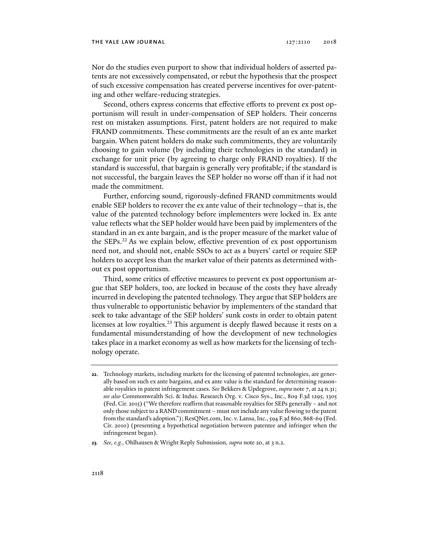Nor do the studies even purport to show that individual holders of asserted patents are not excessively compensated, or rebut the hypothesis that the prospect of such excessive compensation has created perverse incentives for over-patenting and other welfare-reducing strategies.

Second, others express concerns that effective efforts to prevent ex post opportunism will result in under-compensation of SEP holders. Their concerns rest on mistaken assumptions. First, patent holders are not required to make FRAND commitments. These commitments are the result of an ex ante market bargain. When patent holders do make such commitments, they are voluntarily choosing to gain volume (by including their technologies in the standard) in exchange for unit price (by agreeing to charge only FRAND royalties). If the standard is successful, that bargain is generally very profitable; if the standard is not successful, the bargain leaves the SEP holder no worse off than if it had not made the commitment.

Further, enforcing sound, rigorously-defined FRAND commitments would enable SEP holders to recover the ex ante value of their technology—that is, the value of the patented technology before implementers were locked in. Ex ante value reflects what the SEP holder would have been paid by implementers of the standard in an ex ante bargain, and is the proper measure of the market value of the SEPs.<sup>22</sup> As we explain below, effective prevention of ex post opportunism need not, and should not, enable SSOs to act as a buyers' cartel or require SEP holders to accept less than the market value of their patents as determined without ex post opportunism.

Third, some critics of effective measures to prevent ex post opportunism argue that SEP holders, too, are locked in because of the costs they have already incurred in developing the patented technology. They argue that SEP holders are thus vulnerable to opportunistic behavior by implementers of the standard that seek to take advantage of the SEP holders' sunk costs in order to obtain patent licenses at low royalties.<sup>23</sup> This argument is deeply flawed because it rests on a fundamental misunderstanding of how the development of new technologies takes place in a market economy as well as how markets for the licensing of technology operate.

**<sup>22</sup>**. Technology markets, including markets for the licensing of patented technologies, are generally based on such ex ante bargains, and ex ante value is the standard for determining reasonable royalties in patent infringement cases. *See* Bekkers & Updegrove, *supra* note 7, at 24 n.31; *see also* Commonwealth Sci. & Indus. Research Org. v. Cisco Sys., Inc., 809 F.3d 1295, 1305 (Fed. Cir. 2015) ("We therefore reaffirm that reasonable royalties for SEPs generally – and not only those subject to a RAND commitment – must not include any value flowing to the patent from the standard's adoption."); ResQNet.com, Inc. v. Lansa, Inc., 594 F.3d 860, 868-69 (Fed. Cir. 2010) (presenting a hypothetical negotiation between patentee and infringer when the infringement began).

**<sup>23</sup>***. See, e.g.*, Ohlhausen & Wright Reply Submission, *supra* note 20, at 3 n.2.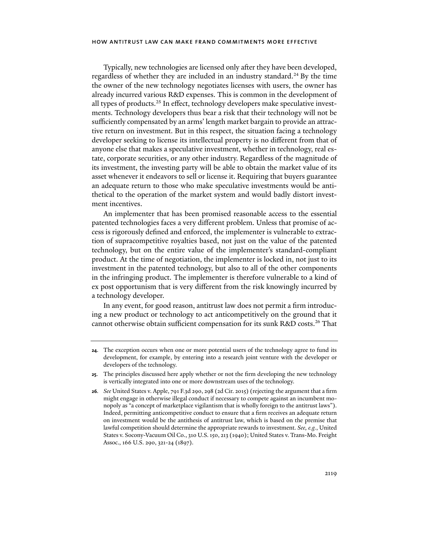Typically, new technologies are licensed only after they have been developed, regardless of whether they are included in an industry standard.<sup>24</sup> By the time the owner of the new technology negotiates licenses with users, the owner has already incurred various R&D expenses. This is common in the development of all types of products.<sup>25</sup> In effect, technology developers make speculative investments. Technology developers thus bear a risk that their technology will not be sufficiently compensated by an arms' length market bargain to provide an attractive return on investment. But in this respect, the situation facing a technology developer seeking to license its intellectual property is no different from that of anyone else that makes a speculative investment, whether in technology, real estate, corporate securities, or any other industry. Regardless of the magnitude of its investment, the investing party will be able to obtain the market value of its asset whenever it endeavors to sell or license it. Requiring that buyers guarantee an adequate return to those who make speculative investments would be antithetical to the operation of the market system and would badly distort investment incentives.

An implementer that has been promised reasonable access to the essential patented technologies faces a very different problem. Unless that promise of access is rigorously defined and enforced, the implementer is vulnerable to extraction of supracompetitive royalties based, not just on the value of the patented technology, but on the entire value of the implementer's standard-compliant product. At the time of negotiation, the implementer is locked in, not just to its investment in the patented technology, but also to all of the other components in the infringing product. The implementer is therefore vulnerable to a kind of ex post opportunism that is very different from the risk knowingly incurred by a technology developer.

In any event, for good reason, antitrust law does not permit a firm introducing a new product or technology to act anticompetitively on the ground that it cannot otherwise obtain sufficient compensation for its sunk R&D costs.26 That

**<sup>24</sup>**. The exception occurs when one or more potential users of the technology agree to fund its development, for example, by entering into a research joint venture with the developer or developers of the technology.

**<sup>25</sup>**. The principles discussed here apply whether or not the firm developing the new technology is vertically integrated into one or more downstream uses of the technology.

**<sup>26</sup>***. See* United States v. Apple, 791 F.3d 290, 298 (2d Cir. 2015) (rejecting the argument that a firm might engage in otherwise illegal conduct if necessary to compete against an incumbent monopoly as "a concept of marketplace vigilantism that is wholly foreign to the antitrust laws"). Indeed, permitting anticompetitive conduct to ensure that a firm receives an adequate return on investment would be the antithesis of antitrust law, which is based on the premise that lawful competition should determine the appropriate rewards to investment. *See, e.g.*, United States v. Socony-Vacuum Oil Co., 310 U.S. 150, 213 (1940); United States v. Trans-Mo. Freight Assoc., 166 U.S. 290, 321-24 (1897).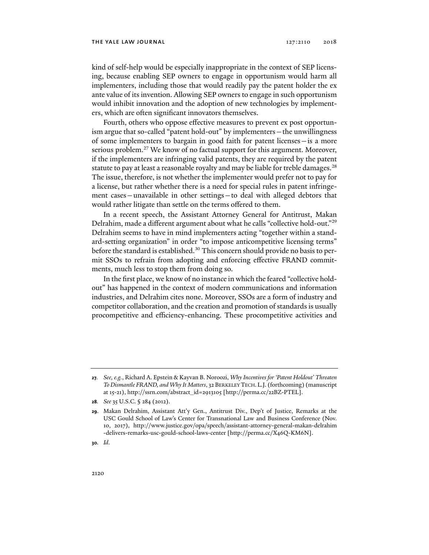kind of self-help would be especially inappropriate in the context of SEP licensing, because enabling SEP owners to engage in opportunism would harm all implementers, including those that would readily pay the patent holder the ex ante value of its invention. Allowing SEP owners to engage in such opportunism would inhibit innovation and the adoption of new technologies by implementers, which are often significant innovators themselves.

Fourth, others who oppose effective measures to prevent ex post opportunism argue that so-called "patent hold-out" by implementers—the unwillingness of some implementers to bargain in good faith for patent licenses—is a more serious problem.<sup>27</sup> We know of no factual support for this argument. Moreover, if the implementers are infringing valid patents, they are required by the patent statute to pay at least a reasonable royalty and may be liable for treble damages.<sup>28</sup> The issue, therefore, is not whether the implementer would prefer not to pay for a license, but rather whether there is a need for special rules in patent infringement cases—unavailable in other settings—to deal with alleged debtors that would rather litigate than settle on the terms offered to them.

In a recent speech, the Assistant Attorney General for Antitrust, Makan Delrahim, made a different argument about what he calls "collective hold-out."29 Delrahim seems to have in mind implementers acting "together within a standard-setting organization" in order "to impose anticompetitive licensing terms" before the standard is established.<sup>30</sup> This concern should provide no basis to permit SSOs to refrain from adopting and enforcing effective FRAND commitments, much less to stop them from doing so.

In the first place, we know of no instance in which the feared "collective holdout" has happened in the context of modern communications and information industries, and Delrahim cites none. Moreover, SSOs are a form of industry and competitor collaboration, and the creation and promotion of standards is usually procompetitive and efficiency-enhancing. These procompetitive activities and

**30***. Id*.

**<sup>27</sup>***. See, e.g.*, Richard A. Epstein & Kayvan B. Noroozi, *Why Incentives for 'Patent Holdout' Threaten To Dismantle FRAND, and Why It Matters*, 32 BERKELEY TECH.L.J. (forthcoming) (manuscript at 15-21), http://ssrn.com/abstract\_id=2913105 [http://perma.cc/22BZ-PTEL].

**<sup>28</sup>***. See* 35 U.S.C. § 284 (2012).

**<sup>29</sup>**. Makan Delrahim, Assistant Att'y Gen., Antitrust Div., Dep't of Justice, Remarks at the USC Gould School of Law's Center for Transnational Law and Business Conference (Nov. 10, 2017), http://www.justice.gov/opa/speech/assistant-attorney-general-makan-delrahim -delivers-remarks-usc-gould-school-laws-center [http://perma.cc/X46Q-KM6N].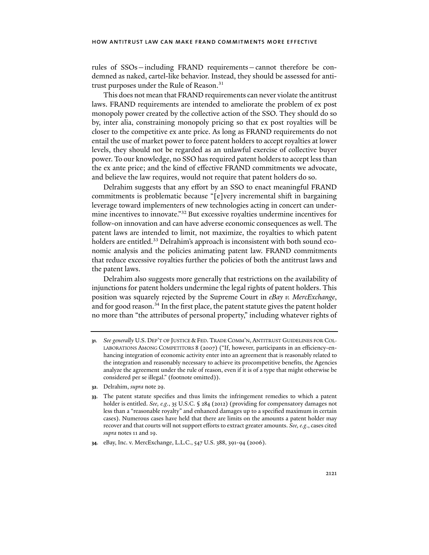rules of SSOs—including FRAND requirements—cannot therefore be condemned as naked, cartel-like behavior. Instead, they should be assessed for antitrust purposes under the Rule of Reason.<sup>31</sup>

This does not mean that FRAND requirements can never violate the antitrust laws. FRAND requirements are intended to ameliorate the problem of ex post monopoly power created by the collective action of the SSO. They should do so by, inter alia, constraining monopoly pricing so that ex post royalties will be closer to the competitive ex ante price. As long as FRAND requirements do not entail the use of market power to force patent holders to accept royalties at lower levels, they should not be regarded as an unlawful exercise of collective buyer power. To our knowledge, no SSO has required patent holders to accept less than the ex ante price; and the kind of effective FRAND commitments we advocate, and believe the law requires, would not require that patent holders do so.

Delrahim suggests that any effort by an SSO to enact meaningful FRAND commitments is problematic because "[e]very incremental shift in bargaining leverage toward implementers of new technologies acting in concert can undermine incentives to innovate."32 But excessive royalties undermine incentives for follow-on innovation and can have adverse economic consequences as well. The patent laws are intended to limit, not maximize, the royalties to which patent holders are entitled.<sup>33</sup> Delrahim's approach is inconsistent with both sound economic analysis and the policies animating patent law. FRAND commitments that reduce excessive royalties further the policies of both the antitrust laws and the patent laws.

Delrahim also suggests more generally that restrictions on the availability of injunctions for patent holders undermine the legal rights of patent holders. This position was squarely rejected by the Supreme Court in *eBay v. MercExchange*, and for good reason. $34$  In the first place, the patent statute gives the patent holder no more than "the attributes of personal property," including whatever rights of

**<sup>31</sup>***. See generally* U.S. DEP'T OF JUSTICE & FED. TRADE COMM'N, ANTITRUST GUIDELINES FOR COL-LABORATIONS AMONG COMPETITORS 8 (2007) ("If, however, participants in an efficiency-enhancing integration of economic activity enter into an agreement that is reasonably related to the integration and reasonably necessary to achieve its procompetitive benefits, the Agencies analyze the agreement under the rule of reason, even if it is of a type that might otherwise be considered per se illegal." (footnote omitted)).

**<sup>32</sup>**. Delrahim, *supra* note 29.

**<sup>33</sup>**. The patent statute specifies and thus limits the infringement remedies to which a patent holder is entitled. *See, e.g*., 35 U.S.C. § 284 (2012) (providing for compensatory damages not less than a "reasonable royalty" and enhanced damages up to a specified maximum in certain cases). Numerous cases have held that there are limits on the amounts a patent holder may recover and that courts will not support efforts to extract greater amounts. *See, e.g*., cases cited *supra* notes 11 and 19.

**<sup>34</sup>**. eBay, Inc. v. MercExchange, L.L.C., 547 U.S. 388, 391-94 (2006).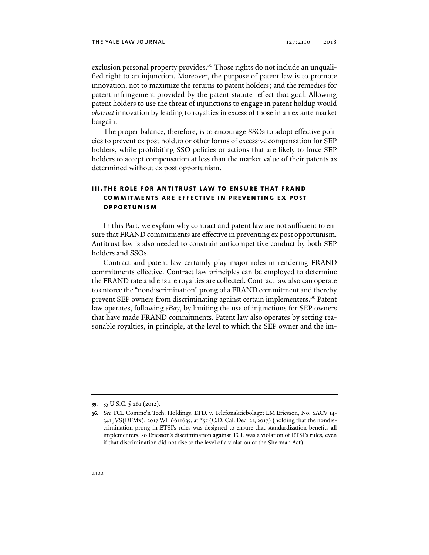exclusion personal property provides.<sup>35</sup> Those rights do not include an unqualified right to an injunction. Moreover, the purpose of patent law is to promote innovation, not to maximize the returns to patent holders; and the remedies for patent infringement provided by the patent statute reflect that goal. Allowing patent holders to use the threat of injunctions to engage in patent holdup would *obstruct* innovation by leading to royalties in excess of those in an ex ante market bargain.

The proper balance, therefore, is to encourage SSOs to adopt effective policies to prevent ex post holdup or other forms of excessive compensation for SEP holders, while prohibiting SSO policies or actions that are likely to force SEP holders to accept compensation at less than the market value of their patents as determined without ex post opportunism.

## **iii. the role for antitrust law to ensure that frand commitments are effective in preventing ex post opportunism**

In this Part, we explain why contract and patent law are not sufficient to ensure that FRAND commitments are effective in preventing ex post opportunism. Antitrust law is also needed to constrain anticompetitive conduct by both SEP holders and SSOs.

Contract and patent law certainly play major roles in rendering FRAND commitments effective. Contract law principles can be employed to determine the FRAND rate and ensure royalties are collected. Contract law also can operate to enforce the "nondiscrimination" prong of a FRAND commitment and thereby prevent SEP owners from discriminating against certain implementers.<sup>36</sup> Patent law operates, following *eBay*, by limiting the use of injunctions for SEP owners that have made FRAND commitments. Patent law also operates by setting reasonable royalties, in principle, at the level to which the SEP owner and the im-

**<sup>35</sup>**. 35 U.S.C. § 261 (2012).

**<sup>36</sup>***. See* TCL Commc'n Tech. Holdings, LTD. v. Telefonaktiebolaget LM Ericsson, No. SACV 14- 341 JVS(DFMx), 2017 WL 6611635, at  $\star$ 55 (C.D. Cal. Dec. 21, 2017) (holding that the nondiscrimination prong in ETSI's rules was designed to ensure that standardization benefits all implementers, so Ericsson's discrimination against TCL was a violation of ETSI's rules, even if that discrimination did not rise to the level of a violation of the Sherman Act).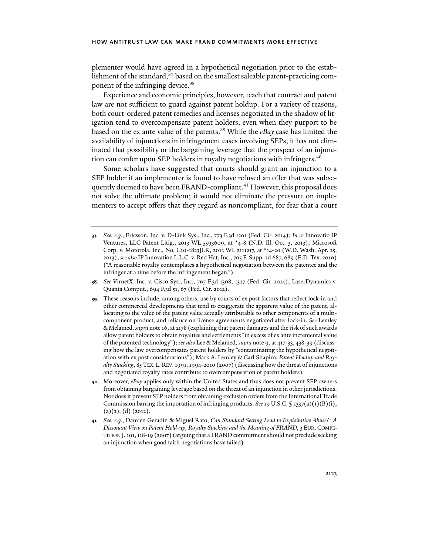plementer would have agreed in a hypothetical negotiation prior to the establishment of the standard, $37$  based on the smallest saleable patent-practicing component of the infringing device.<sup>38</sup>

Experience and economic principles, however, teach that contract and patent law are not sufficient to guard against patent holdup. For a variety of reasons, both court-ordered patent remedies and licenses negotiated in the shadow of litigation tend to overcompensate patent holders, even when they purport to be based on the ex ante value of the patents.39 While the *eBay* case has limited the availability of injunctions in infringement cases involving SEPs, it has not eliminated that possibility or the bargaining leverage that the prospect of an injunction can confer upon SEP holders in royalty negotiations with infringers.<sup>40</sup>

Some scholars have suggested that courts should grant an injunction to a SEP holder if an implementer is found to have refused an offer that was subsequently deemed to have been FRAND-compliant.<sup>41</sup> However, this proposal does not solve the ultimate problem; it would not eliminate the pressure on implementers to accept offers that they regard as noncompliant, for fear that a court

- **38***. See* VirnetX, Inc. v. Cisco Sys., Inc., 767 F.3d 1308, 1327 (Fed. Cir. 2014); LaserDynamics v. Quanta Comput., 694 F.3d 51, 67 (Fed. Cir. 2012).
- **39**. These reasons include, among others, use by courts of ex post factors that reflect lock-in and other commercial developments that tend to exaggerate the apparent value of the patent, allocating to the value of the patent value actually attributable to other components of a multicomponent product, and reliance on license agreements negotiated after lock-in. *See* Lemley & Melamed, *supra* note 16, at 2178 (explaining that patent damages and the risk of such awards allow patent holders to obtain royalties and settlements "in excess of ex ante incremental value of the patented technology"); *see also* Lee & Melamed, *supra* note 9, at 417-33, 438-39 (discussing how the law overcompensates patent holders by "contaminating the hypothetical negotiation with ex post considerations"); Mark A. Lemley & Carl Shapiro, *Patent Holdup and Royalty Stacking*, 85 TEX.L.REV. 1991, 1994-2010 (2007) (discussing how the threat of injunctions and negotiated royalty rates contribute to overcompensation of patent holders).
- **40**. Moreover, *eBay* applies only within the United States and thus does not prevent SEP owners from obtaining bargaining leverage based on the threat of an injunction in other jurisdictions. Nor does it prevent SEP holders from obtaining exclusion orders from the International Trade Commission barring the importation of infringing products. *See* 19 U.S.C. § 1337(a)(1)(B)(i),  $(a)(2), (d)$  (2012).
- **41***. See, e.g.*, Damien Geradin & Miguel Rato, *Can Standard Setting Lead to Exploitative Abuse?: A Dissonant View on Patent Hold-up, Royalty Stacking and the Meaning of FRAND*, 3 EUR.COMPE-TITION J. 101, 118-19 (2007) (arguing that a FRAND commitment should not preclude seeking an injunction when good faith negotiations have failed).

**<sup>37</sup>***. See, e.g.*, Ericsson, Inc. v. D-Link Sys., Inc*.*, 773 F.3d 1201 (Fed. Cir. 2014); *In re* Innovatio IP Ventures, LLC Patent Litig., 2013 WL 5593609, at \*4-8 (N.D. Ill. Oct. 3, 2013); Microsoft Corp. v. Motorola, Inc., No. C10-1823JLR, 2013 WL 2111217, at \*14-20 (W.D. Wash. Apr. 25, 2013); *see also* IP Innovation L.L.C. v. Red Hat, Inc., 705 F. Supp. 2d 687, 689 (E.D. Tex. 2010) ("A reasonable royalty contemplates a hypothetical negotiation between the patentee and the infringer at a time before the infringement began.").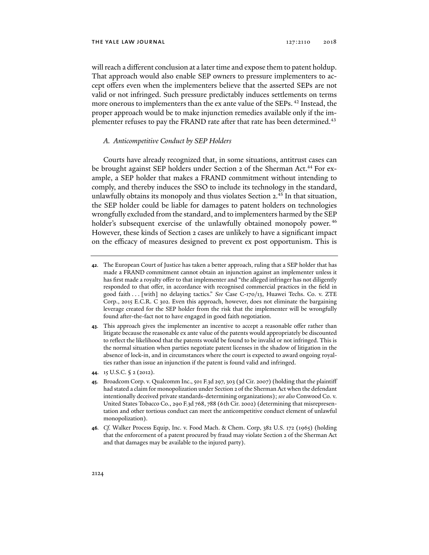will reach a different conclusion at a later time and expose them to patent holdup. That approach would also enable SEP owners to pressure implementers to accept offers even when the implementers believe that the asserted SEPs are not valid or not infringed. Such pressure predictably induces settlements on terms more onerous to implementers than the ex ante value of the SEPs.<sup>42</sup> Instead, the proper approach would be to make injunction remedies available only if the implementer refuses to pay the FRAND rate after that rate has been determined.<sup>43</sup>

#### *A. Anticompetitive Conduct by SEP Holders*

Courts have already recognized that, in some situations, antitrust cases can be brought against SEP holders under Section 2 of the Sherman Act.<sup>44</sup> For example, a SEP holder that makes a FRAND commitment without intending to comply, and thereby induces the SSO to include its technology in the standard, unlawfully obtains its monopoly and thus violates Section 2.<sup>45</sup> In that situation, the SEP holder could be liable for damages to patent holders on technologies wrongfully excluded from the standard, and to implementers harmed by the SEP holder's subsequent exercise of the unlawfully obtained monopoly power.<sup>46</sup> However, these kinds of Section 2 cases are unlikely to have a significant impact on the efficacy of measures designed to prevent ex post opportunism. This is

**43**. This approach gives the implementer an incentive to accept a reasonable offer rather than litigate because the reasonable ex ante value of the patents would appropriately be discounted to reflect the likelihood that the patents would be found to be invalid or not infringed. This is the normal situation when parties negotiate patent licenses in the shadow of litigation in the absence of lock-in, and in circumstances where the court is expected to award ongoing royalties rather than issue an injunction if the patent is found valid and infringed.

**<sup>42</sup>**. The European Court of Justice has taken a better approach, ruling that a SEP holder that has made a FRAND commitment cannot obtain an injunction against an implementer unless it has first made a royalty offer to that implementer and "the alleged infringer has not diligently responded to that offer, in accordance with recognised commercial practices in the field in good faith . . . [with] no delaying tactics." *See* Case C-170/13, Huawei Techs. Co. v. ZTE Corp., 2015 E.C.R. C 302. Even this approach, however, does not eliminate the bargaining leverage created for the SEP holder from the risk that the implementer will be wrongfully found after-the-fact not to have engaged in good faith negotiation.

**<sup>44</sup>**. 15 U.S.C. § 2 (2012).

**<sup>45</sup>**. Broadcom Corp. v. Qualcomm Inc., 501 F.3d 297, 303 (3d Cir. 2007) (holding that the plaintiff had stated a claim for monopolization under Section 2 of the Sherman Act when the defendant intentionally deceived private standards-determining organizations); *see also* Conwood Co. v. United States Tobacco Co., 290 F.3d 768, 788 (6th Cir. 2002) (determining that misrepresentation and other tortious conduct can meet the anticompetitive conduct element of unlawful monopolization).

**<sup>46</sup>***. Cf.* Walker Process Equip, Inc. v. Food Mach. & Chem. Corp, 382 U.S. 172 (1965) (holding that the enforcement of a patent procured by fraud may violate Section 2 of the Sherman Act and that damages may be available to the injured party).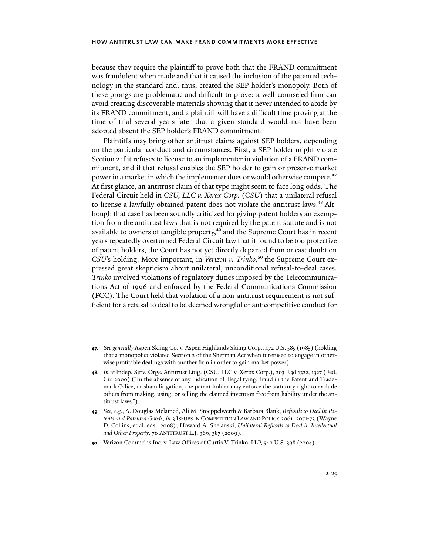because they require the plaintiff to prove both that the FRAND commitment was fraudulent when made and that it caused the inclusion of the patented technology in the standard and, thus, created the SEP holder's monopoly. Both of these prongs are problematic and difficult to prove: a well-counseled firm can avoid creating discoverable materials showing that it never intended to abide by its FRAND commitment, and a plaintiff will have a difficult time proving at the time of trial several years later that a given standard would not have been adopted absent the SEP holder's FRAND commitment.

Plaintiffs may bring other antitrust claims against SEP holders, depending on the particular conduct and circumstances. First, a SEP holder might violate Section 2 if it refuses to license to an implementer in violation of a FRAND commitment, and if that refusal enables the SEP holder to gain or preserve market power in a market in which the implementer does or would otherwise compete.<sup>47</sup> At first glance, an antitrust claim of that type might seem to face long odds. The Federal Circuit held in *CSU, LLC v. Xerox Corp.* (*CSU*) that a unilateral refusal to license a lawfully obtained patent does not violate the antitrust laws.<sup>48</sup> Although that case has been soundly criticized for giving patent holders an exemption from the antitrust laws that is not required by the patent statute and is not available to owners of tangible property,<sup>49</sup> and the Supreme Court has in recent years repeatedly overturned Federal Circuit law that it found to be too protective of patent holders, the Court has not yet directly departed from or cast doubt on *CSU*'s holding. More important, in *Verizon v. Trinko*,<sup>50</sup> the Supreme Court expressed great skepticism about unilateral, unconditional refusal-to-deal cases. *Trinko* involved violations of regulatory duties imposed by the Telecommunications Act of 1996 and enforced by the Federal Communications Commission (FCC). The Court held that violation of a non-antitrust requirement is not sufficient for a refusal to deal to be deemed wrongful or anticompetitive conduct for

**<sup>47</sup>***. See generally* Aspen Skiing Co. v. Aspen Highlands Skiing Corp., 472 U.S. 585 (1985) (holding that a monopolist violated Section 2 of the Sherman Act when it refused to engage in otherwise profitable dealings with another firm in order to gain market power).

**<sup>48</sup>***. In re* Indep. Serv. Orgs. Antitrust Litig. (CSU, LLC v. Xerox Corp.), 203 F.3d 1322, 1327 (Fed. Cir. 2000) ("In the absence of any indication of illegal tying, fraud in the Patent and Trademark Office, or sham litigation, the patent holder may enforce the statutory right to exclude others from making, using, or selling the claimed invention free from liability under the antitrust laws.").

**<sup>49</sup>***. See, e.g.*, A. Douglas Melamed, Ali M. Stoeppelwerth & Barbara Blank, *Refusals to Deal in Patents and Patented Goods*, *in* 3 ISSUES IN COMPETITION LAW AND POLICY 2061, 2071-73 (Wayne D. Collins, et al. eds., 2008); Howard A. Shelanski, *Unilateral Refusals to Deal in Intellectual and Other Property*, 76 ANTITRUST L.J*.* 369, 387 (2009).

**<sup>50</sup>**. Verizon Commc'ns Inc. v. Law Offices of Curtis V. Trinko, LLP, 540 U.S. 398 (2004).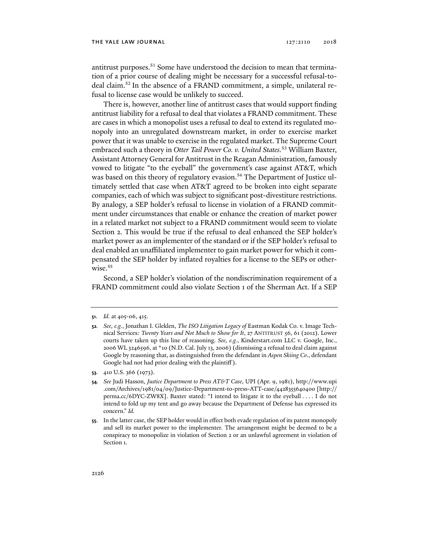antitrust purposes.<sup>51</sup> Some have understood the decision to mean that termination of a prior course of dealing might be necessary for a successful refusal-todeal claim.52 In the absence of a FRAND commitment, a simple, unilateral refusal to license case would be unlikely to succeed.

There is, however, another line of antitrust cases that would support finding antitrust liability for a refusal to deal that violates a FRAND commitment. These are cases in which a monopolist uses a refusal to deal to extend its regulated monopoly into an unregulated downstream market, in order to exercise market power that it was unable to exercise in the regulated market. The Supreme Court embraced such a theory in *Otter Tail Power Co. v. United States.*<sup>53</sup> William Baxter, Assistant Attorney General for Antitrust in the Reagan Administration, famously vowed to litigate "to the eyeball" the government's case against AT&T, which was based on this theory of regulatory evasion.<sup>54</sup> The Department of Justice ultimately settled that case when AT&T agreed to be broken into eight separate companies, each of which was subject to significant post-divestiture restrictions. By analogy, a SEP holder's refusal to license in violation of a FRAND commitment under circumstances that enable or enhance the creation of market power in a related market not subject to a FRAND commitment would seem to violate Section 2. This would be true if the refusal to deal enhanced the SEP holder's market power as an implementer of the standard or if the SEP holder's refusal to deal enabled an unaffiliated implementer to gain market power for which it compensated the SEP holder by inflated royalties for a license to the SEPs or otherwise.<sup>55</sup>

Second, a SEP holder's violation of the nondiscrimination requirement of a FRAND commitment could also violate Section 1 of the Sherman Act. If a SEP

**<sup>51</sup>**. *Id.* at 405-06, 415.

**<sup>52</sup>***. See, e.g.*, Jonathan I. Gleklen, *The ISO Litigation Legacy of* Eastman Kodak Co. v. Image Technical Services*: Twenty Years and Not Much to Show for It*, 27 ANTITRUST 56, 61 (2012). Lower courts have taken up this line of reasoning. *See, e.g.*, Kinderstart.com LLC v. Google, Inc., 2006 WL 3246596, at \*10 (N.D. Cal. July 13, 2006) (dismissing a refusal to deal claim against Google by reasoning that, as distinguished from the defendant in *Aspen Skiing Co*., defendant Google had not had prior dealing with the plaintiff ).

**<sup>53</sup>**. 410 U.S. 366 (1973).

**<sup>54</sup>***. See* Judi Hasson, *Justice Department to Press AT&T Case*, UPI (Apr. 9, 1981), http://www.upi .com/Archives/1981/04/09/Justice-Department-to-press-ATT-case/4428355640400 [http:// perma.cc/6DYC-ZW8X]. Baxter stated: "I intend to litigate it to the eyeball . . . . I do not intend to fold up my tent and go away because the Department of Defense has expressed its concern." *Id.*

**<sup>55</sup>**. In the latter case, the SEP holder would in effect both evade regulation of its patent monopoly and sell its market power to the implementer. The arrangement might be deemed to be a conspiracy to monopolize in violation of Section 2 or an unlawful agreement in violation of Section 1.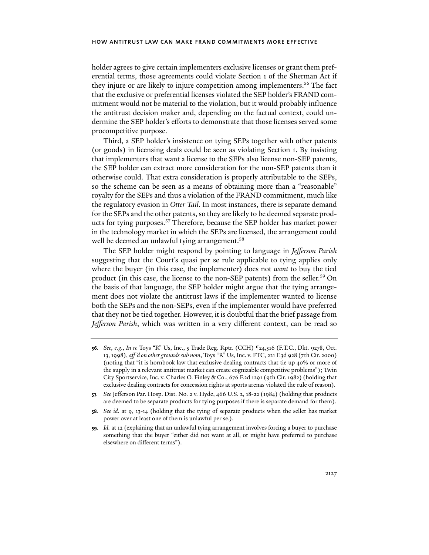holder agrees to give certain implementers exclusive licenses or grant them preferential terms, those agreements could violate Section 1 of the Sherman Act if they injure or are likely to injure competition among implementers.56 The fact that the exclusive or preferential licenses violated the SEP holder's FRAND commitment would not be material to the violation, but it would probably influence the antitrust decision maker and, depending on the factual context, could undermine the SEP holder's efforts to demonstrate that those licenses served some procompetitive purpose.

Third, a SEP holder's insistence on tying SEPs together with other patents (or goods) in licensing deals could be seen as violating Section 1. By insisting that implementers that want a license to the SEPs also license non-SEP patents, the SEP holder can extract more consideration for the non-SEP patents than it otherwise could. That extra consideration is properly attributable to the SEPs, so the scheme can be seen as a means of obtaining more than a "reasonable" royalty for the SEPs and thus a violation of the FRAND commitment, much like the regulatory evasion in *Otter Tail*. In most instances, there is separate demand for the SEPs and the other patents, so they are likely to be deemed separate products for tying purposes.<sup>57</sup> Therefore, because the SEP holder has market power in the technology market in which the SEPs are licensed, the arrangement could well be deemed an unlawful tying arrangement.<sup>58</sup>

The SEP holder might respond by pointing to language in *Jefferson Parish*  suggesting that the Court's quasi per se rule applicable to tying applies only where the buyer (in this case, the implementer) does not *want* to buy the tied product (in this case, the license to the non-SEP patents) from the seller.59 On the basis of that language, the SEP holder might argue that the tying arrangement does not violate the antitrust laws if the implementer wanted to license both the SEPs and the non-SEPs, even if the implementer would have preferred that they not be tied together. However, it is doubtful that the brief passage from *Jefferson Parish*, which was written in a very different context, can be read so

**<sup>56</sup>***. See, e.g*., *In re* Toys "R" Us, Inc., 5 Trade Reg. Rptr. (CCH) ¶24,516 (F.T.C., Dkt. 9278, Oct. 13, 1998), *aff 'd on other grounds sub nom*, Toys "R" Us, Inc. v. FTC, 221 F.3d 928 (7th Cir. 2000) (noting that "it is hornbook law that exclusive dealing contracts that tie up 40% or more of the supply in a relevant antitrust market can create cognizable competitive problems"); Twin City Sportservice, Inc. v. Charles O. Finley & Co., 676 F.2d 1291 (9th Cir. 1982) (holding that exclusive dealing contracts for concession rights at sports arenas violated the rule of reason).

**<sup>57</sup>***. See* Jefferson Par. Hosp. Dist. No. 2 v. Hyde, 466 U.S. 2, 18-22 (1984) (holding that products are deemed to be separate products for tying purposes if there is separate demand for them).

**<sup>58</sup>***. See id.* at 9, 13-14 (holding that the tying of separate products when the seller has market power over at least one of them is unlawful per se.).

**<sup>59</sup>***. Id.* at 12 (explaining that an unlawful tying arrangement involves forcing a buyer to purchase something that the buyer "either did not want at all, or might have preferred to purchase elsewhere on different terms").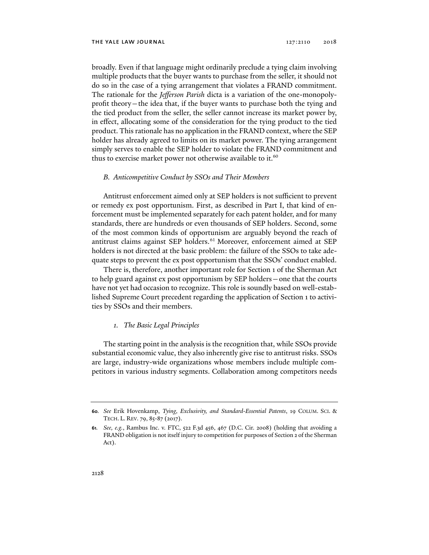broadly. Even if that language might ordinarily preclude a tying claim involving multiple products that the buyer wants to purchase from the seller, it should not do so in the case of a tying arrangement that violates a FRAND commitment. The rationale for the *Jefferson Parish* dicta is a variation of the one-monopolyprofit theory—the idea that, if the buyer wants to purchase both the tying and the tied product from the seller, the seller cannot increase its market power by, in effect, allocating some of the consideration for the tying product to the tied product. This rationale has no application in the FRAND context, where the SEP holder has already agreed to limits on its market power. The tying arrangement simply serves to enable the SEP holder to violate the FRAND commitment and thus to exercise market power not otherwise available to it.<sup>60</sup>

## *B. Anticompetitive Conduct by SSOs and Their Members*

Antitrust enforcement aimed only at SEP holders is not sufficient to prevent or remedy ex post opportunism. First, as described in Part I, that kind of enforcement must be implemented separately for each patent holder, and for many standards, there are hundreds or even thousands of SEP holders. Second, some of the most common kinds of opportunism are arguably beyond the reach of antitrust claims against SEP holders.<sup>61</sup> Moreover, enforcement aimed at SEP holders is not directed at the basic problem: the failure of the SSOs to take adequate steps to prevent the ex post opportunism that the SSOs' conduct enabled.

There is, therefore, another important role for Section 1 of the Sherman Act to help guard against ex post opportunism by SEP holders—one that the courts have not yet had occasion to recognize. This role is soundly based on well-established Supreme Court precedent regarding the application of Section 1 to activities by SSOs and their members.

#### *1. The Basic Legal Principles*

The starting point in the analysis is the recognition that, while SSOs provide substantial economic value, they also inherently give rise to antitrust risks. SSOs are large, industry-wide organizations whose members include multiple competitors in various industry segments. Collaboration among competitors needs

**<sup>60</sup>***. See* Erik Hovenkamp, *Tying, Exclusivity, and Standard-Essential Patents*, 19 COLUM. SCI. & TECH. L. REV. 79, 85-87 (2017).

**<sup>61</sup>***. See, e.g.*, Rambus Inc. v. FTC, 522 F.3d 456, 467 (D.C. Cir. 2008) (holding that avoiding a FRAND obligation is not itself injury to competition for purposes of Section 2 of the Sherman Act).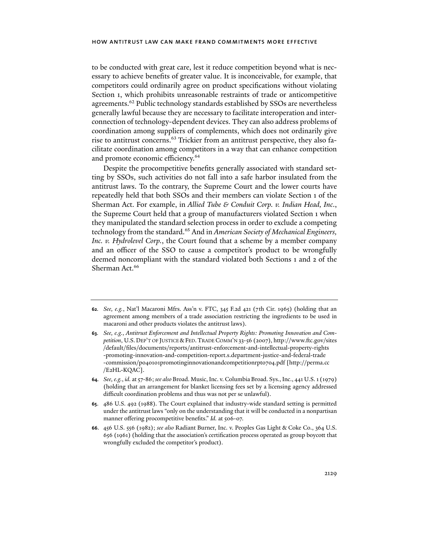to be conducted with great care, lest it reduce competition beyond what is necessary to achieve benefits of greater value. It is inconceivable, for example, that competitors could ordinarily agree on product specifications without violating Section 1, which prohibits unreasonable restraints of trade or anticompetitive agreements.<sup>62</sup> Public technology standards established by SSOs are nevertheless generally lawful because they are necessary to facilitate interoperation and interconnection of technology-dependent devices. They can also address problems of coordination among suppliers of complements, which does not ordinarily give rise to antitrust concerns.63 Trickier from an antitrust perspective, they also facilitate coordination among competitors in a way that can enhance competition and promote economic efficiency.<sup>64</sup>

Despite the procompetitive benefits generally associated with standard setting by SSOs, such activities do not fall into a safe harbor insulated from the antitrust laws. To the contrary, the Supreme Court and the lower courts have repeatedly held that both SSOs and their members can violate Section 1 of the Sherman Act. For example, in *Allied Tube & Conduit Corp. v. Indian Head, Inc*., the Supreme Court held that a group of manufacturers violated Section 1 when they manipulated the standard selection process in order to exclude a competing technology from the standard.<sup>65</sup> And in *American Society of Mechanical Engineers*, *Inc. v. Hydrolevel Corp.*, the Court found that a scheme by a member company and an officer of the SSO to cause a competitor's product to be wrongfully deemed noncompliant with the standard violated both Sections 1 and 2 of the Sherman Act.<sup>66</sup>

- **62***. See, e.g.*, Nat'l Macaroni Mfrs. Ass'n v. FTC, 345 F.2d 421 (7th Cir. 1965) (holding that an agreement among members of a trade association restricting the ingredients to be used in macaroni and other products violates the antitrust laws).
- **63***. See, e.g.*, *Antitrust Enforcement and Intellectual Property Rights: Promoting Innovation and Competition*, U.S. DEP'T OF JUSTICE &FED.TRADE COMM'N 33-56 (2007), http://www.ftc.gov/sites /default/files/documents/reports/antitrust-enforcement-and-intellectual-property-rights -promoting-innovation-and-competition-report.s.department-justice-and-federal-trade -commission/p040101promotinginnovationandcompetitionrpt0704.pdf [http://perma.cc /E2HL-KQAC].
- **64***. See, e.g.*, *id.* at 57-86; *see also* Broad. Music, Inc. v. Columbia Broad. Sys., Inc., 441 U.S. 1 (1979) (holding that an arrangement for blanket licensing fees set by a licensing agency addressed difficult coordination problems and thus was not per se unlawful).
- **65**. 486 U.S. 492 (1988). The Court explained that industry-wide standard setting is permitted under the antitrust laws "only on the understanding that it will be conducted in a nonpartisan manner offering procompetitive benefits." *Id.* at 506-07.
- **66**. 456 U.S. 556 (1982); *see also* Radiant Burner, Inc. v. Peoples Gas Light & Coke Co., 364 U.S. 656 (1961) (holding that the association's certification process operated as group boycott that wrongfully excluded the competitor's product).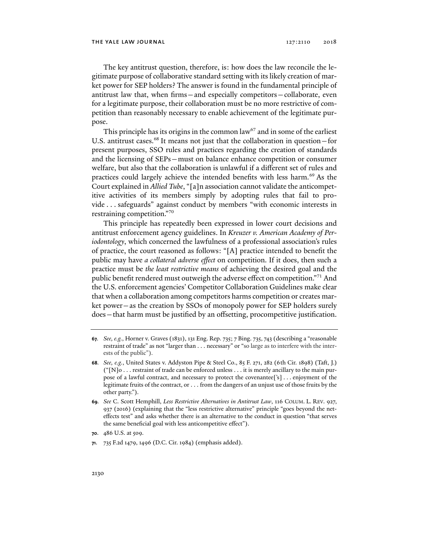The key antitrust question, therefore, is: how does the law reconcile the legitimate purpose of collaborative standard setting with its likely creation of market power for SEP holders? The answer is found in the fundamental principle of antitrust law that, when firms—and especially competitors—collaborate, even for a legitimate purpose, their collaboration must be no more restrictive of competition than reasonably necessary to enable achievement of the legitimate purpose.

This principle has its origins in the common law<sup>67</sup> and in some of the earliest U.S. antitrust cases.<sup>68</sup> It means not just that the collaboration in question—for present purposes, SSO rules and practices regarding the creation of standards and the licensing of SEPs—must on balance enhance competition or consumer welfare, but also that the collaboration is unlawful if a different set of rules and practices could largely achieve the intended benefits with less harm.<sup>69</sup> As the Court explained in *Allied Tube*, "[a]n association cannot validate the anticompetitive activities of its members simply by adopting rules that fail to provide . . . safeguards" against conduct by members "with economic interests in restraining competition."70

This principle has repeatedly been expressed in lower court decisions and antitrust enforcement agency guidelines. In *Kreuzer v. American Academy of Periodontology*, which concerned the lawfulness of a professional association's rules of practice, the court reasoned as follows: "[A] practice intended to benefit the public may have *a collateral adverse effect* on competition. If it does, then such a practice must be *the least restrictive means* of achieving the desired goal and the public benefit rendered must outweigh the adverse effect on competition."<sup>71</sup> And the U.S. enforcement agencies' Competitor Collaboration Guidelines make clear that when a collaboration among competitors harms competition or creates market power—as the creation by SSOs of monopoly power for SEP holders surely does—that harm must be justified by an offsetting, procompetitive justification.

**<sup>67</sup>***. See, e.g.*, Horner v. Graves (1831), 131 Eng. Rep. 735; 7 Bing. 735, 743 (describing a "reasonable restraint of trade" as not "larger than . . . necessary" or "so large as to interfere with the interests of the public").

**<sup>68</sup>***. See, e.g.*, United States v. Addyston Pipe & Steel Co., 85 F. 271, 282 (6th Cir. 1898) (Taft, J.) ("[N]o . . . restraint of trade can be enforced unless . . . it is merely ancillary to the main purpose of a lawful contract, and necessary to protect the covenantee['s] . . . enjoyment of the legitimate fruits of the contract, or . . . from the dangers of an unjust use of those fruits by the other party.").

**<sup>69</sup>***. See* C. Scott Hemphill, *Less Restrictive Alternatives in Antitrust Law*, 116 COLUM. L. REV. 927, 937 (2016) (explaining that the "less restrictive alternative" principle "goes beyond the neteffects test" and asks whether there is an alternative to the conduct in question "that serves the same beneficial goal with less anticompetitive effect").

**<sup>70.</sup>** 486 U.S. at 509.

**<sup>71</sup>**. 735 F.2d 1479, 1496 (D.C. Cir. 1984) (emphasis added).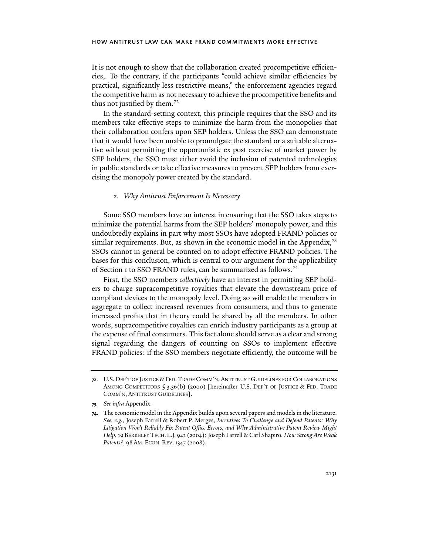It is not enough to show that the collaboration created procompetitive efficiencies,. To the contrary, if the participants "could achieve similar efficiencies by practical, significantly less restrictive means," the enforcement agencies regard the competitive harm as not necessary to achieve the procompetitive benefits and thus not justified by them.<sup>72</sup>

In the standard-setting context, this principle requires that the SSO and its members take effective steps to minimize the harm from the monopolies that their collaboration confers upon SEP holders. Unless the SSO can demonstrate that it would have been unable to promulgate the standard or a suitable alternative without permitting the opportunistic ex post exercise of market power by SEP holders, the SSO must either avoid the inclusion of patented technologies in public standards or take effective measures to prevent SEP holders from exercising the monopoly power created by the standard.

## *2. Why Antitrust Enforcement Is Necessary*

Some SSO members have an interest in ensuring that the SSO takes steps to minimize the potential harms from the SEP holders' monopoly power, and this undoubtedly explains in part why most SSOs have adopted FRAND policies or similar requirements. But, as shown in the economic model in the Appendix,<sup>73</sup> SSOs cannot in general be counted on to adopt effective FRAND policies. The bases for this conclusion, which is central to our argument for the applicability of Section 1 to SSO FRAND rules, can be summarized as follows.74

First, the SSO members *collectively* have an interest in permitting SEP holders to charge supracompetitive royalties that elevate the downstream price of compliant devices to the monopoly level. Doing so will enable the members in aggregate to collect increased revenues from consumers, and thus to generate increased profits that in theory could be shared by all the members. In other words, supracompetitive royalties can enrich industry participants as a group at the expense of final consumers. This fact alone should serve as a clear and strong signal regarding the dangers of counting on SSOs to implement effective FRAND policies: if the SSO members negotiate efficiently, the outcome will be

**<sup>72</sup>**. U.S. DEP'T OF JUSTICE & FED. TRADE COMM'N, ANTITRUST GUIDELINES FOR COLLABORATIONS AMONG COMPETITORS § 3.36(b) (2000) [hereinafter U.S. DEP'T OF JUSTICE & FED. TRADE COMM'N, ANTITRUST GUIDELINES].

**<sup>73</sup>***. See infra* Appendix.

**<sup>74</sup>**. The economic model in the Appendix builds upon several papers and models in the literature. *See, e.g.*, Joseph Farrell & Robert P. Merges, *Incentives To Challenge and Defend Patents: Why Litigation Won't Reliably Fix Patent Office Errors, and Why Administrative Patent Review Might Help*, 19 BERKELEY TECH. L.J. 943 (2004); Joseph Farrell & Carl Shapiro, *How Strong Are Weak Patents?*, 98 AM. ECON. REV.1347 (2008).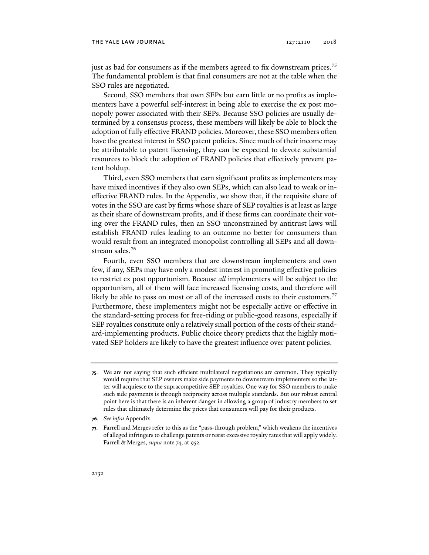just as bad for consumers as if the members agreed to fix downstream prices.<sup>75</sup> The fundamental problem is that final consumers are not at the table when the SSO rules are negotiated.

Second, SSO members that own SEPs but earn little or no profits as implementers have a powerful self-interest in being able to exercise the ex post monopoly power associated with their SEPs. Because SSO policies are usually determined by a consensus process, these members will likely be able to block the adoption of fully effective FRAND policies. Moreover, these SSO members often have the greatest interest in SSO patent policies. Since much of their income may be attributable to patent licensing, they can be expected to devote substantial resources to block the adoption of FRAND policies that effectively prevent patent holdup.

Third, even SSO members that earn significant profits as implementers may have mixed incentives if they also own SEPs, which can also lead to weak or ineffective FRAND rules. In the Appendix, we show that, if the requisite share of votes in the SSO are cast by firms whose share of SEP royalties is at least as large as their share of downstream profits, and if these firms can coordinate their voting over the FRAND rules, then an SSO unconstrained by antitrust laws will establish FRAND rules leading to an outcome no better for consumers than would result from an integrated monopolist controlling all SEPs and all downstream sales.<sup>76</sup>

Fourth, even SSO members that are downstream implementers and own few, if any, SEPs may have only a modest interest in promoting effective policies to restrict ex post opportunism. Because *all* implementers will be subject to the opportunism, all of them will face increased licensing costs, and therefore will likely be able to pass on most or all of the increased costs to their customers.<sup>77</sup> Furthermore, these implementers might not be especially active or effective in the standard-setting process for free-riding or public-good reasons, especially if SEP royalties constitute only a relatively small portion of the costs of their standard-implementing products. Public choice theory predicts that the highly motivated SEP holders are likely to have the greatest influence over patent policies.

**<sup>75</sup>**. We are not saying that such efficient multilateral negotiations are common. They typically would require that SEP owners make side payments to downstream implementers so the latter will acquiesce to the supracompetitive SEP royalties. One way for SSO members to make such side payments is through reciprocity across multiple standards. But our robust central point here is that there is an inherent danger in allowing a group of industry members to set rules that ultimately determine the prices that consumers will pay for their products.

**<sup>76</sup>***. See infra* Appendix.

**<sup>77</sup>**. Farrell and Merges refer to this as the "pass-through problem," which weakens the incentives of alleged infringers to challenge patents or resist excessive royalty rates that will apply widely. Farrell & Merges, *supra* note 74, at 952.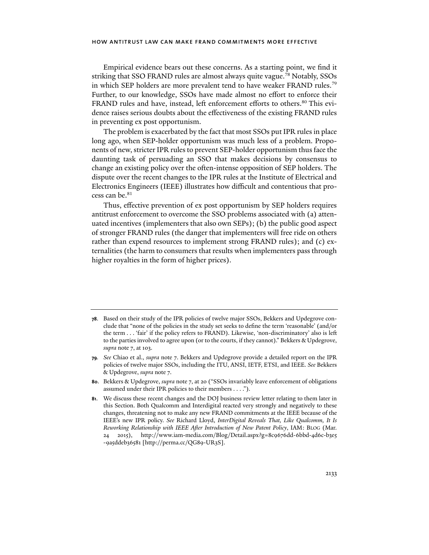Empirical evidence bears out these concerns. As a starting point, we find it striking that SSO FRAND rules are almost always quite vague.<sup>78</sup> Notably, SSOs in which SEP holders are more prevalent tend to have weaker FRAND rules.<sup>79</sup> Further, to our knowledge, SSOs have made almost no effort to enforce their FRAND rules and have, instead, left enforcement efforts to others.<sup>80</sup> This evidence raises serious doubts about the effectiveness of the existing FRAND rules in preventing ex post opportunism.

The problem is exacerbated by the fact that most SSOs put IPR rules in place long ago, when SEP-holder opportunism was much less of a problem. Proponents of new, stricter IPR rules to prevent SEP-holder opportunism thus face the daunting task of persuading an SSO that makes decisions by consensus to change an existing policy over the often-intense opposition of SEP holders. The dispute over the recent changes to the IPR rules at the Institute of Electrical and Electronics Engineers (IEEE) illustrates how difficult and contentious that process can be.<sup>81</sup>

Thus, effective prevention of ex post opportunism by SEP holders requires antitrust enforcement to overcome the SSO problems associated with (a) attenuated incentives (implementers that also own SEPs); (b) the public good aspect of stronger FRAND rules (the danger that implementers will free ride on others rather than expend resources to implement strong FRAND rules); and (c) externalities (the harm to consumers that results when implementers pass through higher royalties in the form of higher prices).

**<sup>78</sup>**. Based on their study of the IPR policies of twelve major SSOs, Bekkers and Updegrove conclude that "none of the policies in the study set seeks to define the term 'reasonable' (and/or the term . . . 'fair' if the policy refers to FRAND). Likewise, 'non-discriminatory' also is left to the parties involved to agree upon (or to the courts, if they cannot)." Bekkers & Updegrove, *supra* note 7, at 103.

**<sup>79</sup>***. See* Chiao et al., *supra* note 7. Bekkers and Updegrove provide a detailed report on the IPR policies of twelve major SSOs, including the ITU, ANSI, IETF, ETSI, and IEEE. *See* Bekkers & Updegrove, *supra* note 7.

**<sup>80</sup>**. Bekkers & Updegrove, *supra* note 7, at 20 ("SSOs invariably leave enforcement of obligations assumed under their IPR policies to their members . . . .").

**<sup>81</sup>**. We discuss these recent changes and the DOJ business review letter relating to them later in this Section. Both Qualcomm and Interdigital reacted very strongly and negatively to these changes, threatening not to make any new FRAND commitments at the IEEE because of the IEEE's new IPR policy. *See* Richard Lloyd, *InterDigital Reveals That, Like Qualcomm, It Is Reworking Relationship with IEEE After Introduction of New Patent Policy*, IAM: BLOG (Mar. 24 2015), http://www.iam-media.com/Blog/Detail.aspx?g=8c9676dd-6bbd-4d6c-b3e5 -9a5ddeb36581 [http://perma.cc/QG89-UR3S].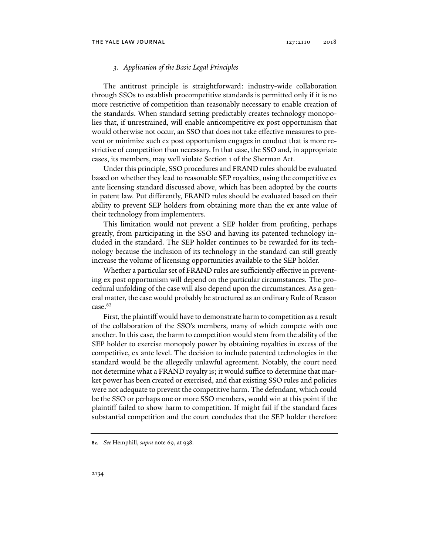## *3. Application of the Basic Legal Principles*

The antitrust principle is straightforward: industry-wide collaboration through SSOs to establish procompetitive standards is permitted only if it is no more restrictive of competition than reasonably necessary to enable creation of the standards. When standard setting predictably creates technology monopolies that, if unrestrained, will enable anticompetitive ex post opportunism that would otherwise not occur, an SSO that does not take effective measures to prevent or minimize such ex post opportunism engages in conduct that is more restrictive of competition than necessary. In that case, the SSO and, in appropriate cases, its members, may well violate Section 1 of the Sherman Act.

Under this principle, SSO procedures and FRAND rules should be evaluated based on whether they lead to reasonable SEP royalties, using the competitive ex ante licensing standard discussed above, which has been adopted by the courts in patent law. Put differently, FRAND rules should be evaluated based on their ability to prevent SEP holders from obtaining more than the ex ante value of their technology from implementers.

This limitation would not prevent a SEP holder from profiting, perhaps greatly, from participating in the SSO and having its patented technology included in the standard. The SEP holder continues to be rewarded for its technology because the inclusion of its technology in the standard can still greatly increase the volume of licensing opportunities available to the SEP holder.

Whether a particular set of FRAND rules are sufficiently effective in preventing ex post opportunism will depend on the particular circumstances. The procedural unfolding of the case will also depend upon the circumstances. As a general matter, the case would probably be structured as an ordinary Rule of Reason case.<sup>82</sup>

First, the plaintiff would have to demonstrate harm to competition as a result of the collaboration of the SSO's members, many of which compete with one another. In this case, the harm to competition would stem from the ability of the SEP holder to exercise monopoly power by obtaining royalties in excess of the competitive, ex ante level. The decision to include patented technologies in the standard would be the allegedly unlawful agreement. Notably, the court need not determine what a FRAND royalty is; it would suffice to determine that market power has been created or exercised, and that existing SSO rules and policies were not adequate to prevent the competitive harm. The defendant, which could be the SSO or perhaps one or more SSO members, would win at this point if the plaintiff failed to show harm to competition. If might fail if the standard faces substantial competition and the court concludes that the SEP holder therefore

**<sup>82</sup>***. See* Hemphill, *supra* note 69, at 938.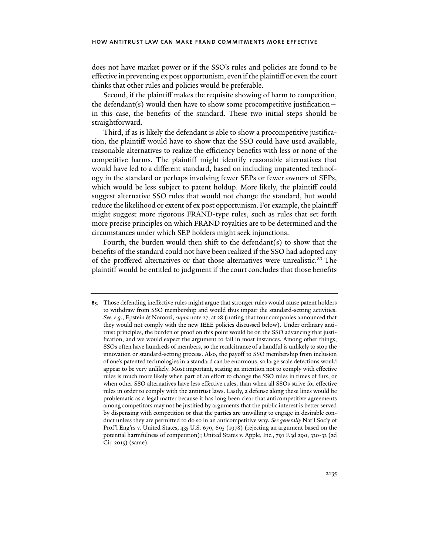does not have market power or if the SSO's rules and policies are found to be effective in preventing ex post opportunism, even if the plaintiff or even the court thinks that other rules and policies would be preferable.

Second, if the plaintiff makes the requisite showing of harm to competition, the defendant(s) would then have to show some procompetitive justification $$ in this case, the benefits of the standard. These two initial steps should be straightforward.

Third, if as is likely the defendant is able to show a procompetitive justification, the plaintiff would have to show that the SSO could have used available, reasonable alternatives to realize the efficiency benefits with less or none of the competitive harms. The plaintiff might identify reasonable alternatives that would have led to a different standard, based on including unpatented technology in the standard or perhaps involving fewer SEPs or fewer owners of SEPs, which would be less subject to patent holdup. More likely, the plaintiff could suggest alternative SSO rules that would not change the standard, but would reduce the likelihood or extent of ex post opportunism. For example, the plaintiff might suggest more rigorous FRAND-type rules, such as rules that set forth more precise principles on which FRAND royalties are to be determined and the circumstances under which SEP holders might seek injunctions.

Fourth, the burden would then shift to the defendant(s) to show that the benefits of the standard could not have been realized if the SSO had adopted any of the proffered alternatives or that those alternatives were unrealistic.<sup>83</sup> The plaintiff would be entitled to judgment if the court concludes that those benefits

**<sup>83</sup>**. Those defending ineffective rules might argue that stronger rules would cause patent holders to withdraw from SSO membership and would thus impair the standard-setting activities. *See, e.g*., Epstein & Noroozi, *supra* note 27, at 28 (noting that four companies announced that they would not comply with the new IEEE policies discussed below). Under ordinary antitrust principles, the burden of proof on this point would be on the SSO advancing that justification, and we would expect the argument to fail in most instances. Among other things, SSOs often have hundreds of members, so the recalcitrance of a handful is unlikely to stop the innovation or standard-setting process. Also, the payoff to SSO membership from inclusion of one's patented technologies in a standard can be enormous, so large scale defections would appear to be very unlikely. Most important, stating an intention not to comply with effective rules is much more likely when part of an effort to change the SSO rules in times of flux, or when other SSO alternatives have less effective rules, than when all SSOs strive for effective rules in order to comply with the antitrust laws. Lastly, a defense along these lines would be problematic as a legal matter because it has long been clear that anticompetitive agreements among competitors may not be justified by arguments that the public interest is better served by dispensing with competition or that the parties are unwilling to engage in desirable conduct unless they are permitted to do so in an anticompetitive way. *See generally* Nat'l Soc'y of Prof'l Eng'rs v. United States, 435 U.S. 679, 695 (1978) (rejecting an argument based on the potential harmfulness of competition); United States v. Apple, Inc., 791 F.3d 290, 330-33 (2d Cir. 2015) (same).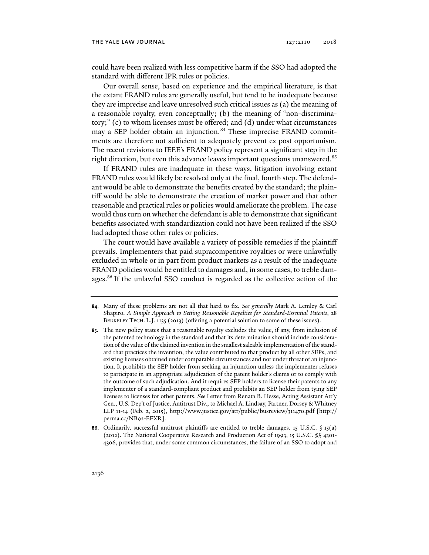could have been realized with less competitive harm if the SSO had adopted the standard with different IPR rules or policies.

Our overall sense, based on experience and the empirical literature, is that the extant FRAND rules are generally useful, but tend to be inadequate because they are imprecise and leave unresolved such critical issues as (a) the meaning of a reasonable royalty, even conceptually; (b) the meaning of "non-discriminatory;" (c) to whom licenses must be offered; and (d) under what circumstances may a SEP holder obtain an injunction.<sup>84</sup> These imprecise FRAND commitments are therefore not sufficient to adequately prevent ex post opportunism. The recent revisions to IEEE's FRAND policy represent a significant step in the right direction, but even this advance leaves important questions unanswered.<sup>85</sup>

If FRAND rules are inadequate in these ways, litigation involving extant FRAND rules would likely be resolved only at the final, fourth step. The defendant would be able to demonstrate the benefits created by the standard; the plaintiff would be able to demonstrate the creation of market power and that other reasonable and practical rules or policies would ameliorate the problem. The case would thus turn on whether the defendant is able to demonstrate that significant benefits associated with standardization could not have been realized if the SSO had adopted those other rules or policies.

The court would have available a variety of possible remedies if the plaintiff prevails. Implementers that paid supracompetitive royalties or were unlawfully excluded in whole or in part from product markets as a result of the inadequate FRAND policies would be entitled to damages and, in some cases, to treble damages.<sup>86</sup> If the unlawful SSO conduct is regarded as the collective action of the

**<sup>84</sup>**. Many of these problems are not all that hard to fix. *See generally* Mark A. Lemley & Carl Shapiro, *A Simple Approach to Setting Reasonable Royalties for Standard-Essential Patents*, 28 BERKELEY TECH. L.J. 1135 (2013) (offering a potential solution to some of these issues).

**<sup>85</sup>**. The new policy states that a reasonable royalty excludes the value, if any, from inclusion of the patented technology in the standard and that its determination should include consideration of the value of the claimed invention in the smallest saleable implementation of the standard that practices the invention, the value contributed to that product by all other SEPs, and existing licenses obtained under comparable circumstances and not under threat of an injunction. It prohibits the SEP holder from seeking an injunction unless the implementer refuses to participate in an appropriate adjudication of the patent holder's claims or to comply with the outcome of such adjudication. And it requires SEP holders to license their patents to any implementer of a standard-compliant product and prohibits an SEP holder from tying SEP licenses to licenses for other patents. *See* Letter from Renata B. Hesse, Acting Assistant Att'y Gen., U.S. Dep't of Justice, Antitrust Div., to Michael A. Lindsay, Partner, Dorsey & Whitney LLP 11-14 (Feb. 2, 2015), http://www.justice.gov/atr/public/busreview/311470.pdf [http:// perma.cc/NB92-EEXR].

**<sup>86</sup>**. Ordinarily, successful antitrust plaintiffs are entitled to treble damages. 15 U.S.C. § 15(a) (2012). The National Cooperative Research and Production Act of 1993, 15 U.S.C. §§ 4301- 4306, provides that, under some common circumstances, the failure of an SSO to adopt and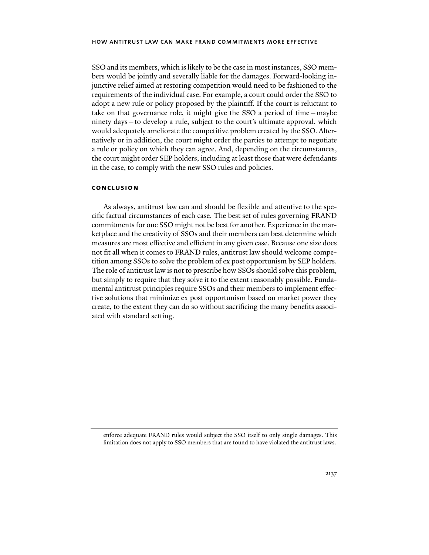SSO and its members, which is likely to be the case in most instances, SSO members would be jointly and severally liable for the damages. Forward-looking injunctive relief aimed at restoring competition would need to be fashioned to the requirements of the individual case. For example, a court could order the SSO to adopt a new rule or policy proposed by the plaintiff. If the court is reluctant to take on that governance role, it might give the SSO a period of time—maybe ninety days—to develop a rule, subject to the court's ultimate approval, which would adequately ameliorate the competitive problem created by the SSO. Alternatively or in addition, the court might order the parties to attempt to negotiate a rule or policy on which they can agree. And, depending on the circumstances, the court might order SEP holders, including at least those that were defendants in the case, to comply with the new SSO rules and policies.

## **conclusion**

As always, antitrust law can and should be flexible and attentive to the specific factual circumstances of each case. The best set of rules governing FRAND commitments for one SSO might not be best for another. Experience in the marketplace and the creativity of SSOs and their members can best determine which measures are most effective and efficient in any given case. Because one size does not fit all when it comes to FRAND rules, antitrust law should welcome competition among SSOs to solve the problem of ex post opportunism by SEP holders. The role of antitrust law is not to prescribe how SSOs should solve this problem, but simply to require that they solve it to the extent reasonably possible. Fundamental antitrust principles require SSOs and their members to implement effective solutions that minimize ex post opportunism based on market power they create, to the extent they can do so without sacrificing the many benefits associated with standard setting.

enforce adequate FRAND rules would subject the SSO itself to only single damages. This limitation does not apply to SSO members that are found to have violated the antitrust laws.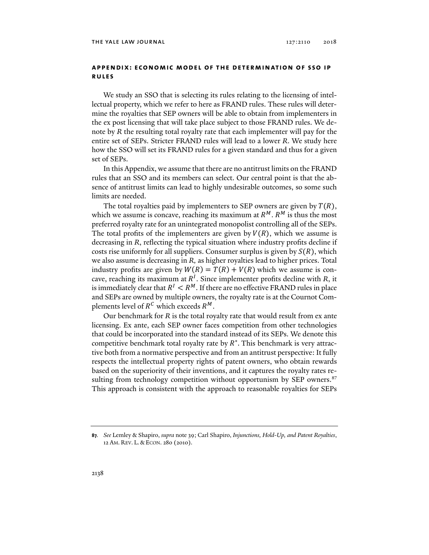## **appendix: economic model of the determination of sso ip rules**

We study an SSO that is selecting its rules relating to the licensing of intellectual property, which we refer to here as FRAND rules. These rules will determine the royalties that SEP owners will be able to obtain from implementers in the ex post licensing that will take place subject to those FRAND rules. We denote by *R* the resulting total royalty rate that each implementer will pay for the entire set of SEPs. Stricter FRAND rules will lead to a lower *R*. We study here how the SSO will set its FRAND rules for a given standard and thus for a given set of SEPs.

In this Appendix, we assume that there are no antitrust limits on the FRAND rules that an SSO and its members can select. Our central point is that the absence of antitrust limits can lead to highly undesirable outcomes, so some such limits are needed.

The total royalties paid by implementers to SEP owners are given by  $T(R)$ , which we assume is concave, reaching its maximum at  $R^M$ .  $R^M$  is thus the most preferred royalty rate for an unintegrated monopolist controlling all of the SEPs. The total profits of the implementers are given by  $V(R)$ , which we assume is decreasing in *R*, reflecting the typical situation where industry profits decline if costs rise uniformly for all suppliers. Consumer surplus is given by  $S(R)$ , which we also assume is decreasing in *R,* as higher royalties lead to higher prices. Total industry profits are given by  $W(R) = T(R) + V(R)$  which we assume is concave, reaching its maximum at  $R<sup>I</sup>$ . Since implementer profits decline with  $R$ , it is immediately clear that  $R^I < R^M$ . If there are no effective FRAND rules in place and SEPs are owned by multiple owners, the royalty rate is at the Cournot Complements level of  $R^C$  which exceeds  $R^M$ .

Our benchmark for *R* is the total royalty rate that would result from ex ante licensing. Ex ante, each SEP owner faces competition from other technologies that could be incorporated into the standard instead of its SEPs. We denote this competitive benchmark total royalty rate by  $R<sup>*</sup>$ . This benchmark is very attractive both from a normative perspective and from an antitrust perspective: It fully respects the intellectual property rights of patent owners, who obtain rewards based on the superiority of their inventions, and it captures the royalty rates resulting from technology competition without opportunism by SEP owners.<sup>87</sup> This approach is consistent with the approach to reasonable royalties for SEPs

**<sup>87</sup>***. See* Lemley & Shapiro, *supra* note 39; Carl Shapiro, *Injunctions, Hold-Up, and Patent Royalties*, 12 AM. REV. L. & ECON. 280 (2010).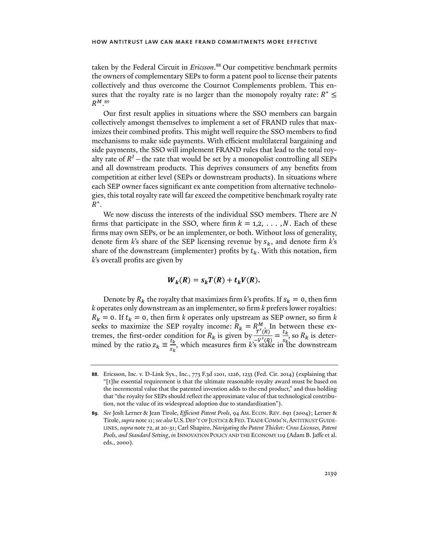taken by the Federal Circuit in *Ericsson*. 88 Our competitive benchmark permits the owners of complementary SEPs to form a patent pool to license their patents collectively and thus overcome the Cournot Complements problem. This ensures that the royalty rate is no larger than the monopoly royalty rate:  $R^* \leq$  $R^{M}$ .<sup>89</sup>

Our first result applies in situations where the SSO members can bargain collectively amongst themselves to implement a set of FRAND rules that maximizes their combined profits. This might well require the SSO members to find mechanisms to make side payments. With efficient multilateral bargaining and side payments, the SSO will implement FRAND rules that lead to the total royalty rate of  $R<sup>I</sup>$  – the rate that would be set by a monopolist controlling all SEPs and all downstream products. This deprives consumers of any benefits from competition at either level (SEPs or downstream products). In situations where each SEP owner faces significant ex ante competition from alternative technologies, this total royalty rate will far exceed the competitive benchmark royalty rate  $R^*$ .

We now discuss the interests of the individual SSO members. There are *N* firms that participate in the SSO, where firm  $k = 1, 2, \ldots, N$ . Each of these firms may own SEPs, or be an implementer, or both. Without loss of generality, denote firm *k*'s share of the SEP licensing revenue by ݏ, and denote firm *k*'s share of the downstream (implementer) profits by  $t_k$ . With this notation, firm *k*'s overall profits are given by

$$
W_k(R) = s_k T(R) + t_k V(R).
$$

Denote by  $R_k$  the royalty that maximizes firm *k*'s profits. If  $s_k = 0$ , then firm *k* operates only downstream as an implementer, so firm *k* prefers lower royalties:  $R_k = 0$ . If  $t_k = 0$ , then firm *k* operates only upstream as SEP owner, so firm *k* seeks to maximize the SEP royalty income:  $R_k = R_{\tau^I \cdot \tau}^M$ . In between these extremes, the first-order condition for  $R_k$  is given by  $\frac{T'(R)}{T'(R)} = \frac{t_k}{s_{k_1}}$ , so  $R_k$  is determined by the ratio  $z_k \equiv \frac{t_k}{s}$  $\frac{\epsilon_R}{s_k}$ , which measures firm *k*'s stake in the downstream

**<sup>88</sup>**. Ericsson, Inc. v. D-Link Sys., Inc., 773 F.3d 1201, 1226, 1233 (Fed. Cir. 2014) (explaining that "[t]he essential requirement is that the ultimate reasonable royalty award must be based on the incremental value that the patented invention adds to the end product," and thus holding that "the royalty for SEPs should reflect the approximate value of that technological contribution, not the value of its widespread adoption due to standardization").

**<sup>89</sup>***. See* Josh Lerner & Jean Tirole, *Efficient Patent Pools*, 94 AM. ECON. REV. 691 (2004); Lerner & Tirole, *supra* note 11; *see also* U.S.DEP'T OF JUSTICE &FED.TRADE COMM'N,ANTITRUST GUIDE-LINES, *supra* note 72, at 20-31; Carl Shapiro, *Navigating the Patent Thicket: Cross Licenses, Patent Pools, and Standard Setting*, *in* INNOVATION POLICY AND THE ECONOMY 119 (Adam B. Jaffe et al. eds., 2000).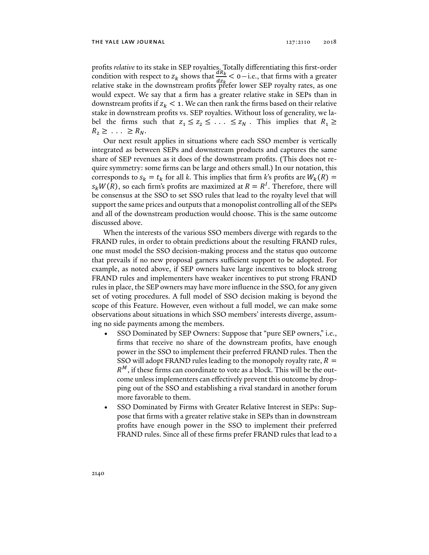profits *relative* to its stake in SEP royalties. Totally differentiating this first-order condition with respect to  $z_k$  shows that  $\frac{dR_k}{dz_k} < 0$  – i.e., that firms with a greater relative stake in the downstream profits prefer lower SEP royalty rates, as one would expect. We say that a firm has a greater relative stake in SEPs than in downstream profits if  $z_k < 1$ . We can then rank the firms based on their relative stake in downstream profits vs. SEP royalties. Without loss of generality, we label the firms such that  $z_1 \leq z_2 \leq \ldots \leq z_N$ . This implies that  $R_1 \geq$  $R_2 \geq \ldots \geq R_N$ .

Our next result applies in situations where each SSO member is vertically integrated as between SEPs and downstream products and captures the same share of SEP revenues as it does of the downstream profits. (This does not require symmetry: some firms can be large and others small.) In our notation, this corresponds to  $s_k = t_k$  for all k. This implies that firm k's profits are  $W_k(R) =$  $s_k W(\overline{R})$ , so each firm's profits are maximized at  $R = R^I$ . Therefore, there will be consensus at the SSO to set SSO rules that lead to the royalty level that will support the same prices and outputs that a monopolist controlling all of the SEPs and all of the downstream production would choose. This is the same outcome discussed above.

When the interests of the various SSO members diverge with regards to the FRAND rules, in order to obtain predictions about the resulting FRAND rules, one must model the SSO decision-making process and the status quo outcome that prevails if no new proposal garners sufficient support to be adopted. For example, as noted above, if SEP owners have large incentives to block strong FRAND rules and implementers have weaker incentives to put strong FRAND rules in place, the SEP owners may have more influence in the SSO, for any given set of voting procedures. A full model of SSO decision making is beyond the scope of this Feature. However, even without a full model, we can make some observations about situations in which SSO members' interests diverge, assuming no side payments among the members.

- SSO Dominated by SEP Owners: Suppose that "pure SEP owners," i.e., firms that receive no share of the downstream profits, have enough power in the SSO to implement their preferred FRAND rules. Then the SSO will adopt FRAND rules leading to the monopoly royalty rate,  $R =$  $R<sup>M</sup>$ , if these firms can coordinate to vote as a block. This will be the outcome unless implementers can effectively prevent this outcome by dropping out of the SSO and establishing a rival standard in another forum more favorable to them.
- SSO Dominated by Firms with Greater Relative Interest in SEPs: Suppose that firms with a greater relative stake in SEPs than in downstream profits have enough power in the SSO to implement their preferred FRAND rules. Since all of these firms prefer FRAND rules that lead to a